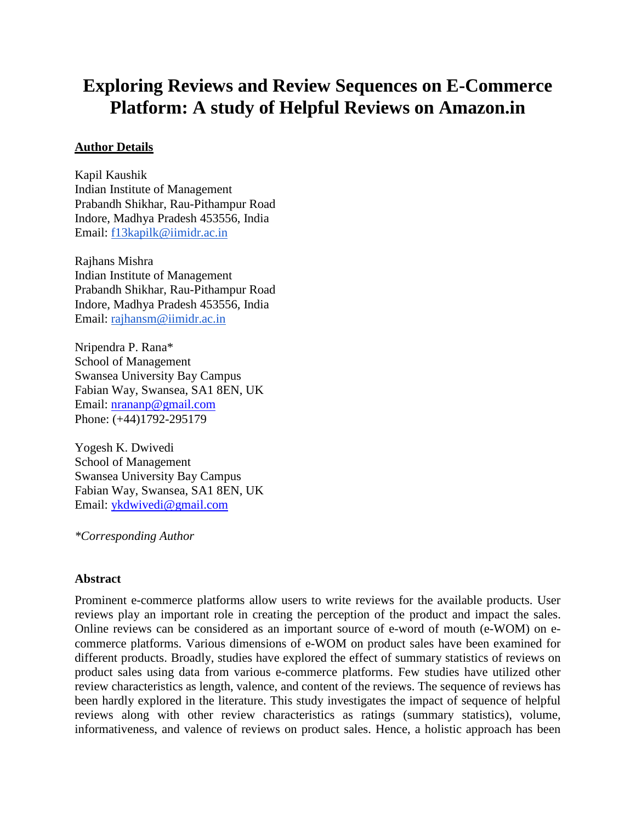# **Exploring Reviews and Review Sequences on E-Commerce Platform: A study of Helpful Reviews on Amazon.in**

# **Author Details**

Kapil Kaushik Indian Institute of Management Prabandh Shikhar, Rau-Pithampur Road Indore, Madhya Pradesh 453556, India Email: [f13kapilk@iimidr.ac.in](mailto:f13kapilk@iimidr.ac.in)

Rajhans Mishra Indian Institute of Management Prabandh Shikhar, Rau-Pithampur Road Indore, Madhya Pradesh 453556, India Email: [rajhansm@iimidr.ac.in](mailto:rajhansm@iimidr.ac.in)

Nripendra P. Rana\* School of Management Swansea University Bay Campus Fabian Way, Swansea, SA1 8EN, UK Email: nrananp@gmail.com Phone: (+44)1792-295179

Yogesh K. Dwivedi School of Management Swansea University Bay Campus Fabian Way, Swansea, SA1 8EN, UK Email: [ykdwivedi@gmail.com](mailto:ykdwivedi@gmail.com)

*\*Corresponding Author*

# **Abstract**

Prominent e-commerce platforms allow users to write reviews for the available products. User reviews play an important role in creating the perception of the product and impact the sales. Online reviews can be considered as an important source of e-word of mouth (e-WOM) on ecommerce platforms. Various dimensions of e-WOM on product sales have been examined for different products. Broadly, studies have explored the effect of summary statistics of reviews on product sales using data from various e-commerce platforms. Few studies have utilized other review characteristics as length, valence, and content of the reviews. The sequence of reviews has been hardly explored in the literature. This study investigates the impact of sequence of helpful reviews along with other review characteristics as ratings (summary statistics), volume, informativeness, and valence of reviews on product sales. Hence, a holistic approach has been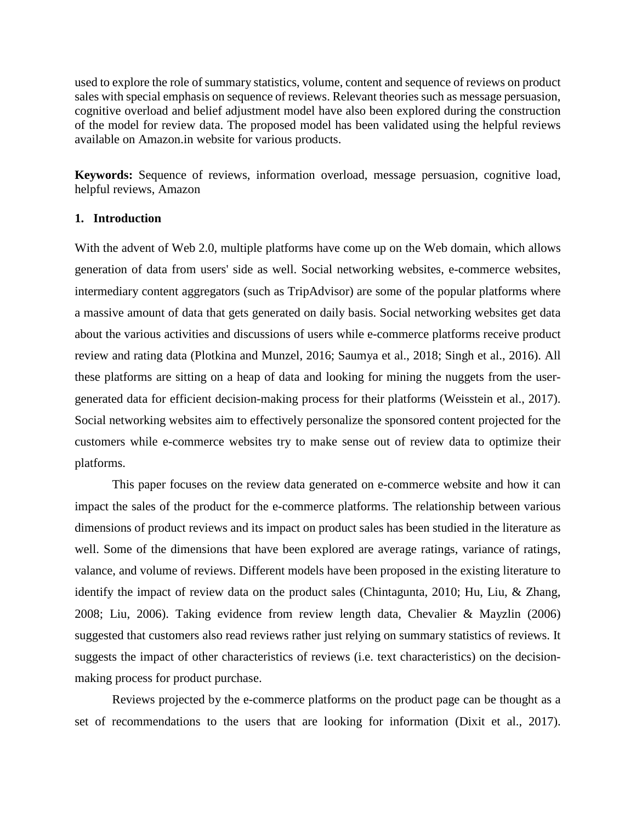used to explore the role of summary statistics, volume, content and sequence of reviews on product sales with special emphasis on sequence of reviews. Relevant theories such as message persuasion, cognitive overload and belief adjustment model have also been explored during the construction of the model for review data. The proposed model has been validated using the helpful reviews available on Amazon.in website for various products.

**Keywords:** Sequence of reviews, information overload, message persuasion, cognitive load, helpful reviews, Amazon

#### **1. Introduction**

With the advent of Web 2.0, multiple platforms have come up on the Web domain, which allows generation of data from users' side as well. Social networking websites, e-commerce websites, intermediary content aggregators (such as TripAdvisor) are some of the popular platforms where a massive amount of data that gets generated on daily basis. Social networking websites get data about the various activities and discussions of users while e-commerce platforms receive product review and rating data (Plotkina and Munzel, 2016; Saumya et al., 2018; Singh et al., 2016). All these platforms are sitting on a heap of data and looking for mining the nuggets from the usergenerated data for efficient decision-making process for their platforms (Weisstein et al., 2017). Social networking websites aim to effectively personalize the sponsored content projected for the customers while e-commerce websites try to make sense out of review data to optimize their platforms.

This paper focuses on the review data generated on e-commerce website and how it can impact the sales of the product for the e-commerce platforms. The relationship between various dimensions of product reviews and its impact on product sales has been studied in the literature as well. Some of the dimensions that have been explored are average ratings, variance of ratings, valance, and volume of reviews. Different models have been proposed in the existing literature to identify the impact of review data on the product sales (Chintagunta, 2010; Hu, Liu, & Zhang, 2008; Liu, 2006). Taking evidence from review length data, Chevalier & Mayzlin (2006) suggested that customers also read reviews rather just relying on summary statistics of reviews. It suggests the impact of other characteristics of reviews (i.e. text characteristics) on the decisionmaking process for product purchase.

Reviews projected by the e-commerce platforms on the product page can be thought as a set of recommendations to the users that are looking for information (Dixit et al., 2017).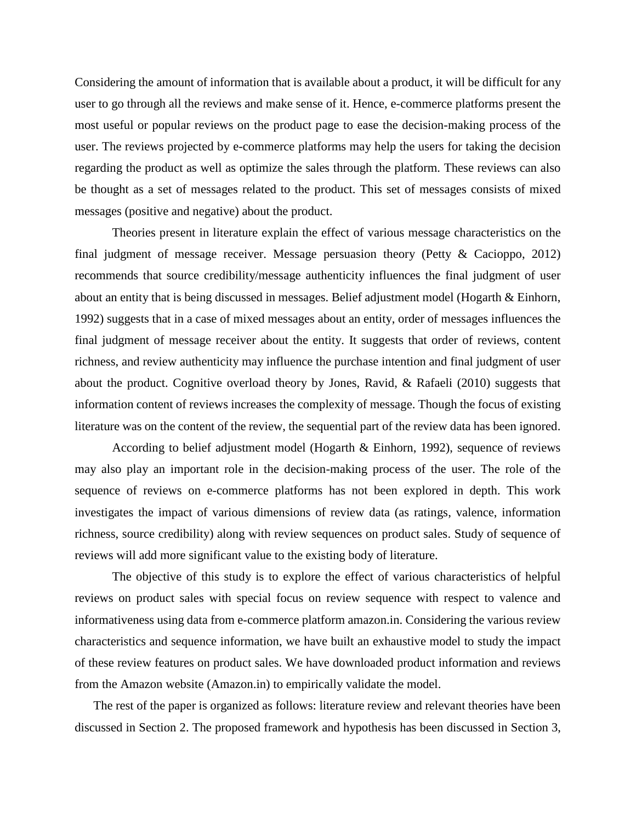Considering the amount of information that is available about a product, it will be difficult for any user to go through all the reviews and make sense of it. Hence, e-commerce platforms present the most useful or popular reviews on the product page to ease the decision-making process of the user. The reviews projected by e-commerce platforms may help the users for taking the decision regarding the product as well as optimize the sales through the platform. These reviews can also be thought as a set of messages related to the product. This set of messages consists of mixed messages (positive and negative) about the product.

Theories present in literature explain the effect of various message characteristics on the final judgment of message receiver. Message persuasion theory (Petty & Cacioppo, 2012) recommends that source credibility/message authenticity influences the final judgment of user about an entity that is being discussed in messages. Belief adjustment model (Hogarth & Einhorn, 1992) suggests that in a case of mixed messages about an entity, order of messages influences the final judgment of message receiver about the entity. It suggests that order of reviews, content richness, and review authenticity may influence the purchase intention and final judgment of user about the product. Cognitive overload theory by Jones, Ravid, & Rafaeli (2010) suggests that information content of reviews increases the complexity of message. Though the focus of existing literature was on the content of the review, the sequential part of the review data has been ignored.

According to belief adjustment model (Hogarth & Einhorn, 1992), sequence of reviews may also play an important role in the decision-making process of the user. The role of the sequence of reviews on e-commerce platforms has not been explored in depth. This work investigates the impact of various dimensions of review data (as ratings, valence, information richness, source credibility) along with review sequences on product sales. Study of sequence of reviews will add more significant value to the existing body of literature.

The objective of this study is to explore the effect of various characteristics of helpful reviews on product sales with special focus on review sequence with respect to valence and informativeness using data from e-commerce platform amazon.in. Considering the various review characteristics and sequence information, we have built an exhaustive model to study the impact of these review features on product sales. We have downloaded product information and reviews from the Amazon website (Amazon.in) to empirically validate the model.

The rest of the paper is organized as follows: literature review and relevant theories have been discussed in Section 2. The proposed framework and hypothesis has been discussed in Section 3,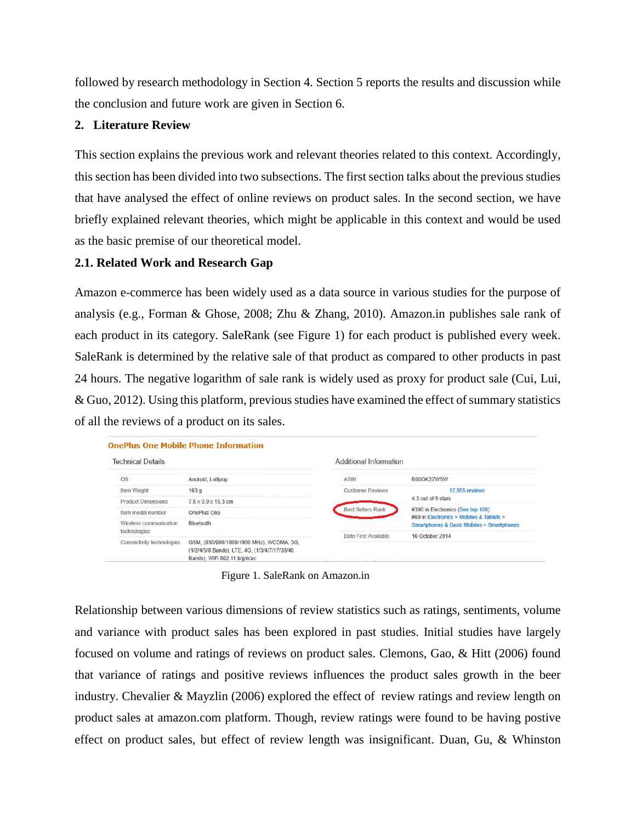followed by research methodology in Section 4. Section 5 reports the results and discussion while the conclusion and future work are given in Section 6.

# **2. Literature Review**

This section explains the previous work and relevant theories related to this context. Accordingly, this section has been divided into two subsections. The first section talks about the previous studies that have analysed the effect of online reviews on product sales. In the second section, we have briefly explained relevant theories, which might be applicable in this context and would be used as the basic premise of our theoretical model.

# **2.1. Related Work and Research Gap**

Amazon e-commerce has been widely used as a data source in various studies for the purpose of analysis (e.g., Forman & Ghose, 2008; Zhu & Zhang, 2010). Amazon.in publishes sale rank of each product in its category. SaleRank (see Figure 1) for each product is published every week. SaleRank is determined by the relative sale of that product as compared to other products in past 24 hours. The negative logarithm of sale rank is widely used as proxy for product sale (Cui, Lui, & Guo, 2012). Using this platform, previous studies have examined the effect of summary statistics of all the reviews of a product on its sales.



Figure 1. SaleRank on Amazon.in

Relationship between various dimensions of review statistics such as ratings, sentiments, volume and variance with product sales has been explored in past studies. Initial studies have largely focused on volume and ratings of reviews on product sales. Clemons, Gao, & Hitt (2006) found that variance of ratings and positive reviews influences the product sales growth in the beer industry. Chevalier & Mayzlin (2006) explored the effect of review ratings and review length on product sales at amazon.com platform. Though, review ratings were found to be having postive effect on product sales, but effect of review length was insignificant. Duan, Gu, & Whinston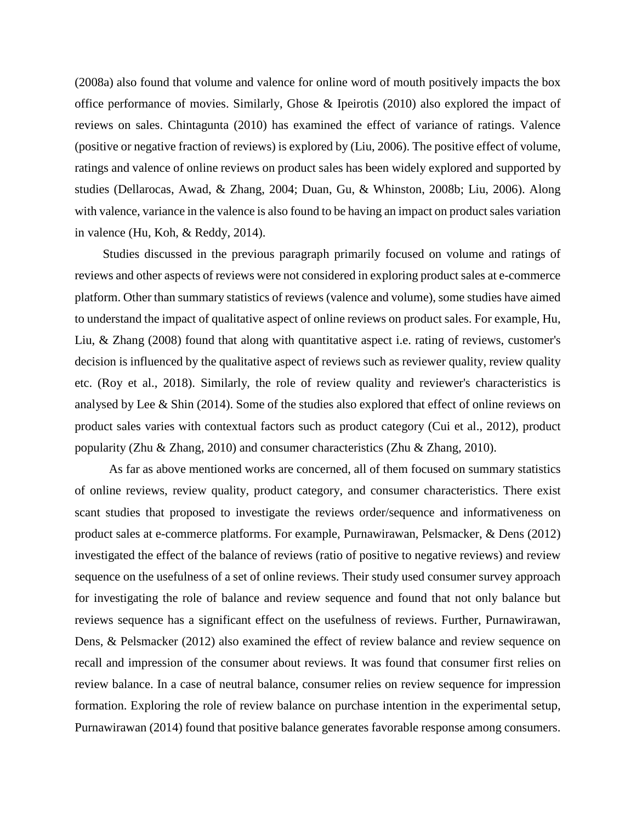(2008a) also found that volume and valence for online word of mouth positively impacts the box office performance of movies. Similarly, Ghose & Ipeirotis (2010) also explored the impact of reviews on sales. Chintagunta (2010) has examined the effect of variance of ratings. Valence (positive or negative fraction of reviews) is explored by (Liu, 2006). The positive effect of volume, ratings and valence of online reviews on product sales has been widely explored and supported by studies (Dellarocas, Awad, & Zhang, 2004; Duan, Gu, & Whinston, 2008b; Liu, 2006). Along with valence, variance in the valence is also found to be having an impact on product sales variation in valence (Hu, Koh, & Reddy, 2014).

 Studies discussed in the previous paragraph primarily focused on volume and ratings of reviews and other aspects of reviews were not considered in exploring product sales at e-commerce platform. Other than summary statistics of reviews (valence and volume), some studies have aimed to understand the impact of qualitative aspect of online reviews on product sales. For example, Hu, Liu, & Zhang (2008) found that along with quantitative aspect i.e. rating of reviews, customer's decision is influenced by the qualitative aspect of reviews such as reviewer quality, review quality etc. (Roy et al., 2018). Similarly, the role of review quality and reviewer's characteristics is analysed by Lee & Shin (2014). Some of the studies also explored that effect of online reviews on product sales varies with contextual factors such as product category (Cui et al., 2012), product popularity (Zhu & Zhang, 2010) and consumer characteristics (Zhu & Zhang, 2010).

 As far as above mentioned works are concerned, all of them focused on summary statistics of online reviews, review quality, product category, and consumer characteristics. There exist scant studies that proposed to investigate the reviews order/sequence and informativeness on product sales at e-commerce platforms. For example, Purnawirawan, Pelsmacker, & Dens (2012) investigated the effect of the balance of reviews (ratio of positive to negative reviews) and review sequence on the usefulness of a set of online reviews. Their study used consumer survey approach for investigating the role of balance and review sequence and found that not only balance but reviews sequence has a significant effect on the usefulness of reviews. Further, Purnawirawan, Dens, & Pelsmacker (2012) also examined the effect of review balance and review sequence on recall and impression of the consumer about reviews. It was found that consumer first relies on review balance. In a case of neutral balance, consumer relies on review sequence for impression formation. Exploring the role of review balance on purchase intention in the experimental setup, Purnawirawan (2014) found that positive balance generates favorable response among consumers.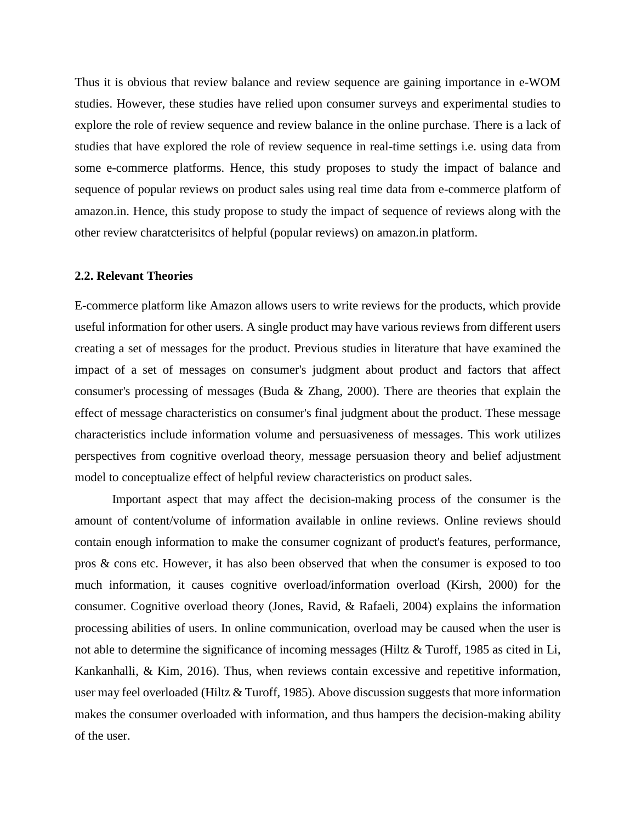Thus it is obvious that review balance and review sequence are gaining importance in e-WOM studies. However, these studies have relied upon consumer surveys and experimental studies to explore the role of review sequence and review balance in the online purchase. There is a lack of studies that have explored the role of review sequence in real-time settings i.e. using data from some e-commerce platforms. Hence, this study proposes to study the impact of balance and sequence of popular reviews on product sales using real time data from e-commerce platform of amazon.in. Hence, this study propose to study the impact of sequence of reviews along with the other review charatcterisitcs of helpful (popular reviews) on amazon.in platform.

# **2.2. Relevant Theories**

E-commerce platform like Amazon allows users to write reviews for the products, which provide useful information for other users. A single product may have various reviews from different users creating a set of messages for the product. Previous studies in literature that have examined the impact of a set of messages on consumer's judgment about product and factors that affect consumer's processing of messages (Buda & Zhang, 2000). There are theories that explain the effect of message characteristics on consumer's final judgment about the product. These message characteristics include information volume and persuasiveness of messages. This work utilizes perspectives from cognitive overload theory, message persuasion theory and belief adjustment model to conceptualize effect of helpful review characteristics on product sales.

Important aspect that may affect the decision-making process of the consumer is the amount of content/volume of information available in online reviews. Online reviews should contain enough information to make the consumer cognizant of product's features, performance, pros & cons etc. However, it has also been observed that when the consumer is exposed to too much information, it causes cognitive overload/information overload (Kirsh, 2000) for the consumer. Cognitive overload theory (Jones, Ravid, & Rafaeli, 2004) explains the information processing abilities of users. In online communication, overload may be caused when the user is not able to determine the significance of incoming messages (Hiltz & Turoff, 1985 as cited in Li, Kankanhalli, & Kim, 2016). Thus, when reviews contain excessive and repetitive information, user may feel overloaded (Hiltz & Turoff, 1985). Above discussion suggests that more information makes the consumer overloaded with information, and thus hampers the decision-making ability of the user.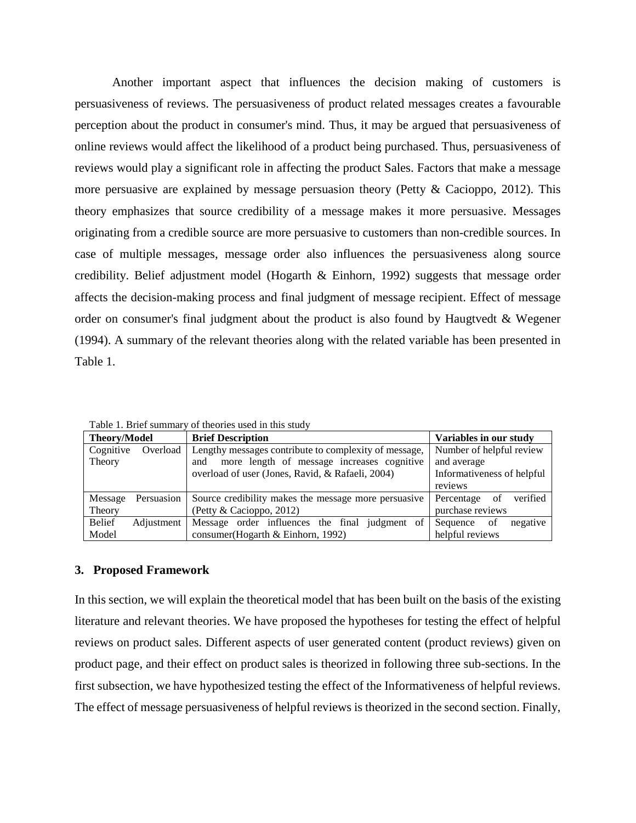Another important aspect that influences the decision making of customers is persuasiveness of reviews. The persuasiveness of product related messages creates a favourable perception about the product in consumer's mind. Thus, it may be argued that persuasiveness of online reviews would affect the likelihood of a product being purchased. Thus, persuasiveness of reviews would play a significant role in affecting the product Sales. Factors that make a message more persuasive are explained by message persuasion theory (Petty & Cacioppo, 2012). This theory emphasizes that source credibility of a message makes it more persuasive. Messages originating from a credible source are more persuasive to customers than non-credible sources. In case of multiple messages, message order also influences the persuasiveness along source credibility. Belief adjustment model (Hogarth & Einhorn, 1992) suggests that message order affects the decision-making process and final judgment of message recipient. Effect of message order on consumer's final judgment about the product is also found by Haugtvedt & Wegener (1994). A summary of the relevant theories along with the related variable has been presented in Table 1.

| 1 avit 1. DHQi bahhhai      | of theories ascaming state                            |                                       |  |
|-----------------------------|-------------------------------------------------------|---------------------------------------|--|
| <b>Theory/Model</b>         | <b>Brief Description</b>                              | Variables in our study                |  |
| Cognitive<br>Overload       | Lengthy messages contribute to complexity of message, | Number of helpful review              |  |
| Theory                      | more length of message increases cognitive<br>and     | and average                           |  |
|                             | overload of user (Jones, Ravid, & Rafaeli, 2004)      | Informativeness of helpful            |  |
|                             |                                                       | reviews                               |  |
| Persuasion<br>Message       | Source credibility makes the message more persuasive  | verified<br>Percentage of             |  |
| Theory                      | (Petty & Cacioppo, 2012)                              | purchase reviews                      |  |
| <b>Belief</b><br>Adjustment | Message order influences the final judgment of        | negative<br>Sequence<br><sub>of</sub> |  |
| Model                       | consumer (Hogarth & Einhorn, 1992)                    | helpful reviews                       |  |

Table 1. Brief summary of theories used in this study

#### **3. Proposed Framework**

In this section, we will explain the theoretical model that has been built on the basis of the existing literature and relevant theories. We have proposed the hypotheses for testing the effect of helpful reviews on product sales. Different aspects of user generated content (product reviews) given on product page, and their effect on product sales is theorized in following three sub-sections. In the first subsection, we have hypothesized testing the effect of the Informativeness of helpful reviews. The effect of message persuasiveness of helpful reviews is theorized in the second section. Finally,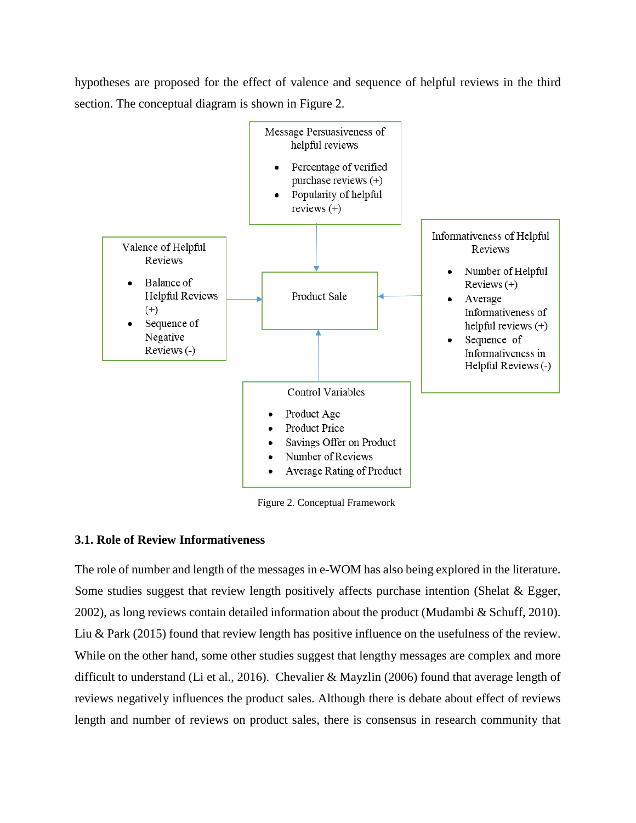hypotheses are proposed for the effect of valence and sequence of helpful reviews in the third section. The conceptual diagram is shown in Figure 2.



Figure 2. Conceptual Framework

# **3.1. Role of Review Informativeness**

The role of number and length of the messages in e-WOM has also being explored in the literature. Some studies suggest that review length positively affects purchase intention (Shelat & Egger, 2002), as long reviews contain detailed information about the product (Mudambi & Schuff, 2010). Liu & Park (2015) found that review length has positive influence on the usefulness of the review. While on the other hand, some other studies suggest that lengthy messages are complex and more difficult to understand (Li et al., 2016). Chevalier & Mayzlin (2006) found that average length of reviews negatively influences the product sales. Although there is debate about effect of reviews length and number of reviews on product sales, there is consensus in research community that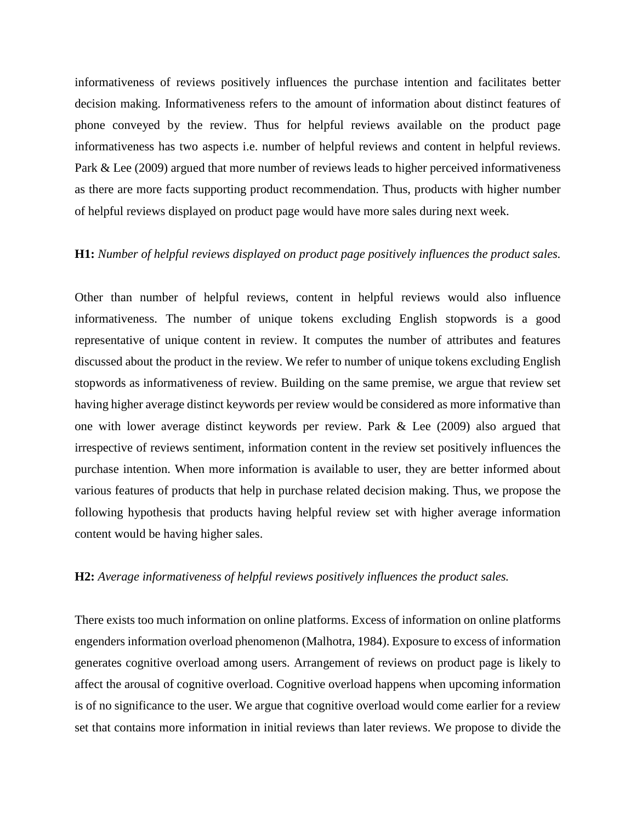informativeness of reviews positively influences the purchase intention and facilitates better decision making. Informativeness refers to the amount of information about distinct features of phone conveyed by the review. Thus for helpful reviews available on the product page informativeness has two aspects i.e. number of helpful reviews and content in helpful reviews. Park & Lee (2009) argued that more number of reviews leads to higher perceived informativeness as there are more facts supporting product recommendation. Thus, products with higher number of helpful reviews displayed on product page would have more sales during next week.

# **H1:** *Number of helpful reviews displayed on product page positively influences the product sales.*

Other than number of helpful reviews, content in helpful reviews would also influence informativeness. The number of unique tokens excluding English stopwords is a good representative of unique content in review. It computes the number of attributes and features discussed about the product in the review. We refer to number of unique tokens excluding English stopwords as informativeness of review. Building on the same premise, we argue that review set having higher average distinct keywords per review would be considered as more informative than one with lower average distinct keywords per review. Park & Lee (2009) also argued that irrespective of reviews sentiment, information content in the review set positively influences the purchase intention. When more information is available to user, they are better informed about various features of products that help in purchase related decision making. Thus, we propose the following hypothesis that products having helpful review set with higher average information content would be having higher sales.

# **H2:** *Average informativeness of helpful reviews positively influences the product sales.*

There exists too much information on online platforms. Excess of information on online platforms engenders information overload phenomenon (Malhotra, 1984). Exposure to excess of information generates cognitive overload among users. Arrangement of reviews on product page is likely to affect the arousal of cognitive overload. Cognitive overload happens when upcoming information is of no significance to the user. We argue that cognitive overload would come earlier for a review set that contains more information in initial reviews than later reviews. We propose to divide the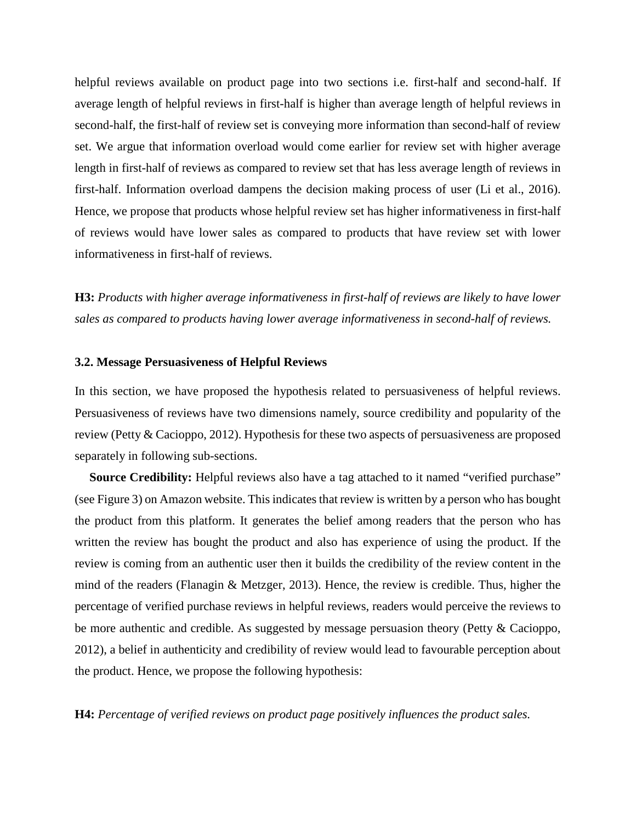helpful reviews available on product page into two sections i.e. first-half and second-half. If average length of helpful reviews in first-half is higher than average length of helpful reviews in second-half, the first-half of review set is conveying more information than second-half of review set. We argue that information overload would come earlier for review set with higher average length in first-half of reviews as compared to review set that has less average length of reviews in first-half. Information overload dampens the decision making process of user (Li et al., 2016). Hence, we propose that products whose helpful review set has higher informativeness in first-half of reviews would have lower sales as compared to products that have review set with lower informativeness in first-half of reviews.

**H3:** *Products with higher average informativeness in first-half of reviews are likely to have lower sales as compared to products having lower average informativeness in second-half of reviews.* 

## **3.2. Message Persuasiveness of Helpful Reviews**

In this section, we have proposed the hypothesis related to persuasiveness of helpful reviews. Persuasiveness of reviews have two dimensions namely, source credibility and popularity of the review (Petty & Cacioppo, 2012). Hypothesis for these two aspects of persuasiveness are proposed separately in following sub-sections.

**Source Credibility:** Helpful reviews also have a tag attached to it named "verified purchase" (see Figure 3) on Amazon website. This indicates that review is written by a person who has bought the product from this platform. It generates the belief among readers that the person who has written the review has bought the product and also has experience of using the product. If the review is coming from an authentic user then it builds the credibility of the review content in the mind of the readers (Flanagin & Metzger, 2013). Hence, the review is credible. Thus, higher the percentage of verified purchase reviews in helpful reviews, readers would perceive the reviews to be more authentic and credible. As suggested by message persuasion theory (Petty & Cacioppo, 2012), a belief in authenticity and credibility of review would lead to favourable perception about the product. Hence, we propose the following hypothesis:

**H4:** *Percentage of verified reviews on product page positively influences the product sales.*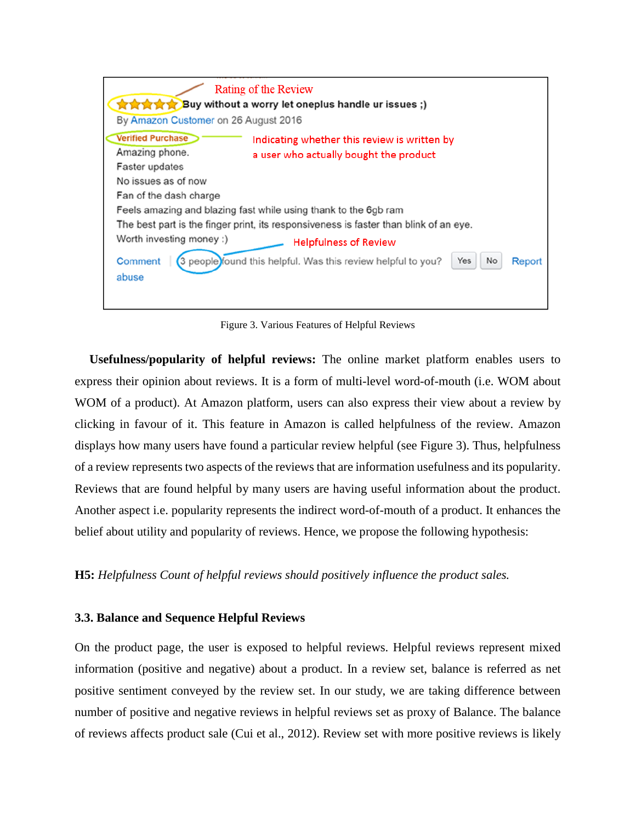| By Amazon Customer on 26 August 2016                                                                          | Rating of the Review<br><b>★★★★★</b> Buy without a worry let oneplus handle ur issues ;) |
|---------------------------------------------------------------------------------------------------------------|------------------------------------------------------------------------------------------|
| <b>Verified Purchase</b><br>Amazing phone.<br>Faster updates<br>No issues as of now<br>Fan of the dash charge | Indicating whether this review is written by<br>a user who actually bought the product   |
|                                                                                                               | Feels amazing and blazing fast while using thank to the 6gb ram                          |
|                                                                                                               | The best part is the finger print, its responsiveness is faster than blink of an eye.    |
| Worth investing money :)                                                                                      | <b>Helpfulness of Review</b>                                                             |
| Comment<br>abuse                                                                                              | people) found this helpful. Was this review helpful to you?<br>No<br>Yes<br>Report       |

Figure 3. Various Features of Helpful Reviews

**Usefulness/popularity of helpful reviews:** The online market platform enables users to express their opinion about reviews. It is a form of multi-level word-of-mouth (i.e. WOM about WOM of a product). At Amazon platform, users can also express their view about a review by clicking in favour of it. This feature in Amazon is called helpfulness of the review. Amazon displays how many users have found a particular review helpful (see Figure 3). Thus, helpfulness of a review represents two aspects of the reviews that are information usefulness and its popularity. Reviews that are found helpful by many users are having useful information about the product. Another aspect i.e. popularity represents the indirect word-of-mouth of a product. It enhances the belief about utility and popularity of reviews. Hence, we propose the following hypothesis:

**H5:** *Helpfulness Count of helpful reviews should positively influence the product sales.*

# **3.3. Balance and Sequence Helpful Reviews**

On the product page, the user is exposed to helpful reviews. Helpful reviews represent mixed information (positive and negative) about a product. In a review set, balance is referred as net positive sentiment conveyed by the review set. In our study, we are taking difference between number of positive and negative reviews in helpful reviews set as proxy of Balance. The balance of reviews affects product sale (Cui et al., 2012). Review set with more positive reviews is likely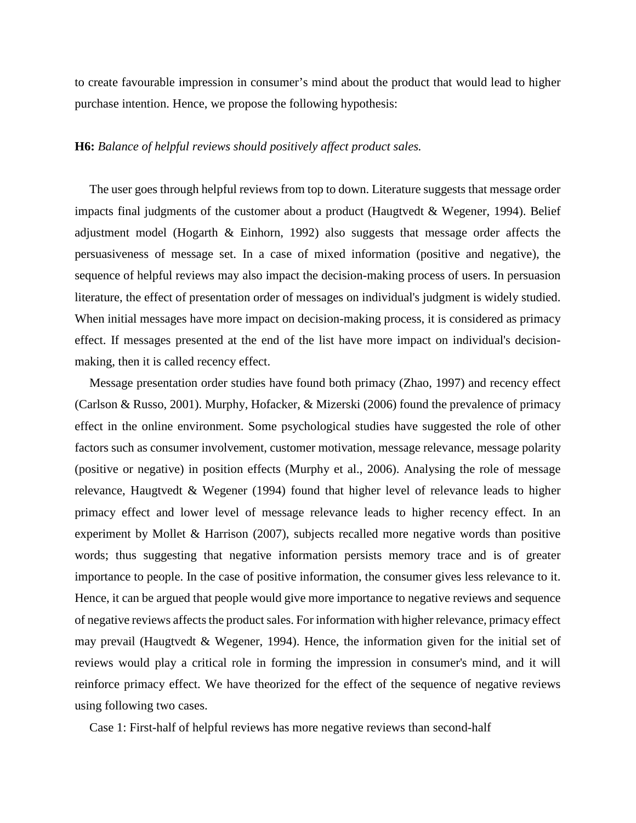to create favourable impression in consumer's mind about the product that would lead to higher purchase intention. Hence, we propose the following hypothesis:

# **H6:** *Balance of helpful reviews should positively affect product sales.*

The user goes through helpful reviews from top to down. Literature suggests that message order impacts final judgments of the customer about a product (Haugtvedt & Wegener, 1994). Belief adjustment model (Hogarth & Einhorn, 1992) also suggests that message order affects the persuasiveness of message set. In a case of mixed information (positive and negative), the sequence of helpful reviews may also impact the decision-making process of users. In persuasion literature, the effect of presentation order of messages on individual's judgment is widely studied. When initial messages have more impact on decision-making process, it is considered as primacy effect. If messages presented at the end of the list have more impact on individual's decisionmaking, then it is called recency effect.

Message presentation order studies have found both primacy (Zhao, 1997) and recency effect (Carlson & Russo, 2001). Murphy, Hofacker, & Mizerski (2006) found the prevalence of primacy effect in the online environment. Some psychological studies have suggested the role of other factors such as consumer involvement, customer motivation, message relevance, message polarity (positive or negative) in position effects (Murphy et al., 2006). Analysing the role of message relevance, Haugtvedt & Wegener (1994) found that higher level of relevance leads to higher primacy effect and lower level of message relevance leads to higher recency effect. In an experiment by Mollet & Harrison (2007), subjects recalled more negative words than positive words; thus suggesting that negative information persists memory trace and is of greater importance to people. In the case of positive information, the consumer gives less relevance to it. Hence, it can be argued that people would give more importance to negative reviews and sequence of negative reviews affects the product sales. For information with higher relevance, primacy effect may prevail (Haugtvedt & Wegener, 1994). Hence, the information given for the initial set of reviews would play a critical role in forming the impression in consumer's mind, and it will reinforce primacy effect. We have theorized for the effect of the sequence of negative reviews using following two cases.

Case 1: First-half of helpful reviews has more negative reviews than second-half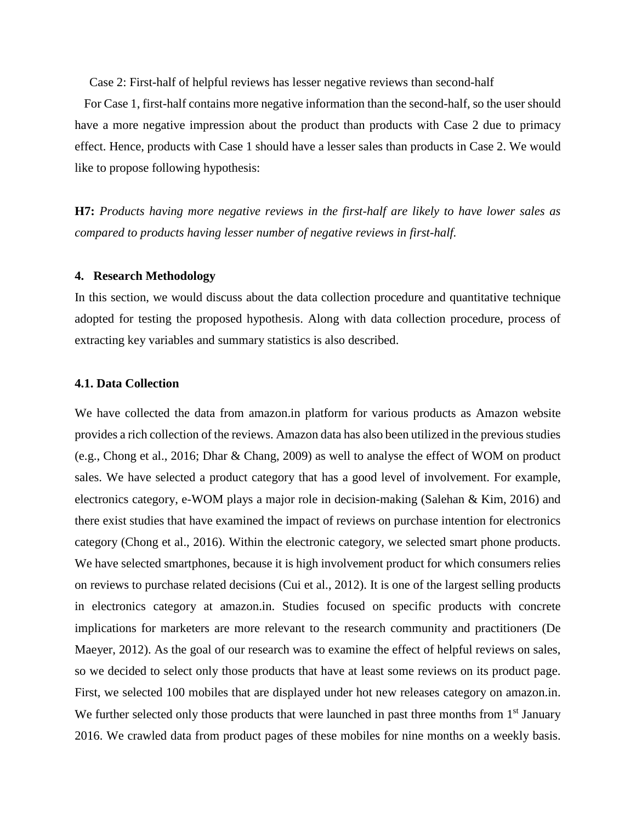Case 2: First-half of helpful reviews has lesser negative reviews than second-half

 For Case 1, first-half contains more negative information than the second-half, so the user should have a more negative impression about the product than products with Case 2 due to primacy effect. Hence, products with Case 1 should have a lesser sales than products in Case 2. We would like to propose following hypothesis:

**H7:** *Products having more negative reviews in the first-half are likely to have lower sales as compared to products having lesser number of negative reviews in first-half.*

## **4. Research Methodology**

In this section, we would discuss about the data collection procedure and quantitative technique adopted for testing the proposed hypothesis. Along with data collection procedure, process of extracting key variables and summary statistics is also described.

# **4.1. Data Collection**

We have collected the data from amazon.in platform for various products as Amazon website provides a rich collection of the reviews. Amazon data has also been utilized in the previous studies (e.g., Chong et al., 2016; Dhar & Chang, 2009) as well to analyse the effect of WOM on product sales. We have selected a product category that has a good level of involvement. For example, electronics category, e-WOM plays a major role in decision-making (Salehan & Kim, 2016) and there exist studies that have examined the impact of reviews on purchase intention for electronics category (Chong et al., 2016). Within the electronic category, we selected smart phone products. We have selected smartphones, because it is high involvement product for which consumers relies on reviews to purchase related decisions (Cui et al., 2012). It is one of the largest selling products in electronics category at amazon.in. Studies focused on specific products with concrete implications for marketers are more relevant to the research community and practitioners (De Maeyer, 2012). As the goal of our research was to examine the effect of helpful reviews on sales, so we decided to select only those products that have at least some reviews on its product page. First, we selected 100 mobiles that are displayed under hot new releases category on amazon.in. We further selected only those products that were launched in past three months from  $1<sup>st</sup>$  January 2016. We crawled data from product pages of these mobiles for nine months on a weekly basis.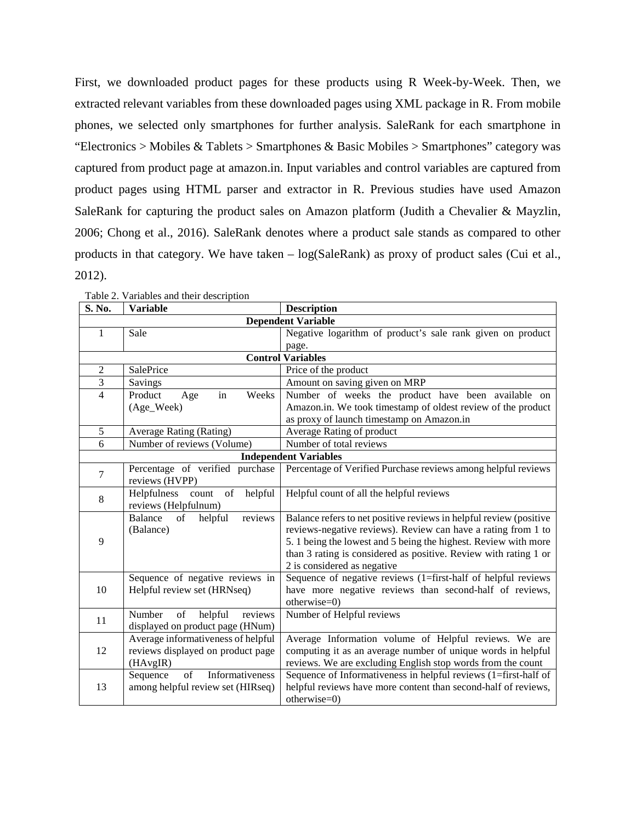First, we downloaded product pages for these products using R Week-by-Week. Then, we extracted relevant variables from these downloaded pages using XML package in R. From mobile phones, we selected only smartphones for further analysis. SaleRank for each smartphone in ["Electronics](http://www.amazon.in/gp/bestsellers/electronics/ref=pd_zg_hrsr_e_1_1) > [Mobiles & Tablets](http://www.amazon.in/gp/bestsellers/electronics/3561110031/ref=pd_zg_hrsr_e_1_2) > [Smartphones & Basic Mobiles](http://www.amazon.in/gp/bestsellers/electronics/1389432031/ref=pd_zg_hrsr_e_1_3) > Smartphones" category was captured from product page at amazon.in. Input variables and control variables are captured from product pages using HTML parser and extractor in R. Previous studies have used Amazon SaleRank for capturing the product sales on Amazon platform (Judith a Chevalier & Mayzlin, 2006; Chong et al., 2016). SaleRank denotes where a product sale stands as compared to other products in that category. We have taken – log(SaleRank) as proxy of product sales (Cui et al., 2012).

| S. No.         | <b>Variable</b>                            | <b>Description</b>                                                 |  |  |
|----------------|--------------------------------------------|--------------------------------------------------------------------|--|--|
|                | <b>Dependent Variable</b>                  |                                                                    |  |  |
| 1              | Sale                                       | Negative logarithm of product's sale rank given on product         |  |  |
|                |                                            | page.                                                              |  |  |
|                |                                            | <b>Control Variables</b>                                           |  |  |
| $\overline{c}$ | SalePrice                                  | Price of the product                                               |  |  |
| $\mathfrak{Z}$ | Savings                                    | Amount on saving given on MRP                                      |  |  |
| $\overline{4}$ | Product<br>in<br>Weeks<br>Age              | Number of weeks the product have been available on                 |  |  |
|                | (Age_Week)                                 | Amazon.in. We took timestamp of oldest review of the product       |  |  |
|                |                                            | as proxy of launch timestamp on Amazon.in                          |  |  |
| 5              | Average Rating (Rating)                    | Average Rating of product                                          |  |  |
| 6              | Number of reviews (Volume)                 | Number of total reviews                                            |  |  |
|                |                                            | <b>Independent Variables</b>                                       |  |  |
|                | Percentage of verified purchase            | Percentage of Verified Purchase reviews among helpful reviews      |  |  |
| 7              | reviews (HVPP)                             |                                                                    |  |  |
| 8              | Helpfulness count<br>of<br>helpful         | Helpful count of all the helpful reviews                           |  |  |
|                | reviews (Helpfulnum)                       |                                                                    |  |  |
|                | <b>Balance</b><br>of<br>helpful<br>reviews | Balance refers to net positive reviews in helpful review (positive |  |  |
|                | (Balance)                                  | reviews-negative reviews). Review can have a rating from 1 to      |  |  |
| 9              |                                            | 5. 1 being the lowest and 5 being the highest. Review with more    |  |  |
|                |                                            | than 3 rating is considered as positive. Review with rating 1 or   |  |  |
|                |                                            | 2 is considered as negative                                        |  |  |
|                | Sequence of negative reviews in            | Sequence of negative reviews (1=first-half of helpful reviews      |  |  |
| 10             | Helpful review set (HRNseq)                | have more negative reviews than second-half of reviews,            |  |  |
|                |                                            | otherwise=0)                                                       |  |  |
| 11             | helpful<br>Number<br>of<br>reviews         | Number of Helpful reviews                                          |  |  |
|                | displayed on product page (HNum)           |                                                                    |  |  |
|                | Average informativeness of helpful         | Average Information volume of Helpful reviews. We are              |  |  |
| 12             | reviews displayed on product page          | computing it as an average number of unique words in helpful       |  |  |
|                | (HAvgIR)                                   | reviews. We are excluding English stop words from the count        |  |  |
|                | of<br>Informativeness<br>Sequence          | Sequence of Informativeness in helpful reviews (1=first-half of    |  |  |
| 13             | among helpful review set (HIRseq)          | helpful reviews have more content than second-half of reviews,     |  |  |
|                |                                            | $otherwise=0$ )                                                    |  |  |

Table 2. Variables and their description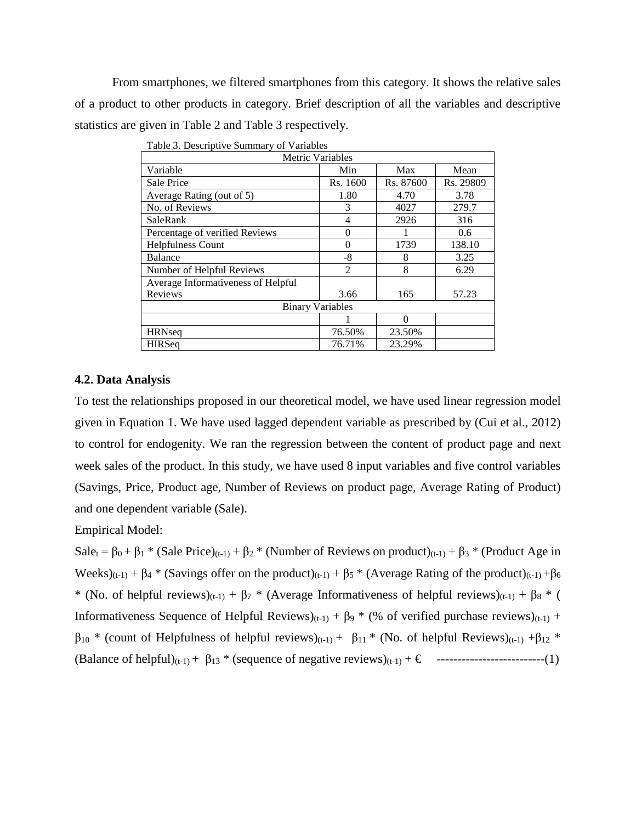From smartphones, we filtered smartphones from this category. It shows the relative sales of a product to other products in category. Brief description of all the variables and descriptive statistics are given in Table 2 and Table 3 respectively.

| Metric Variables                   |                |           |           |  |
|------------------------------------|----------------|-----------|-----------|--|
| Variable                           | Min            | Max       | Mean      |  |
| Sale Price                         | Rs. 1600       | Rs. 87600 | Rs. 29809 |  |
| Average Rating (out of 5)          | 1.80           | 4.70      | 3.78      |  |
| No. of Reviews                     | 3              | 4027      | 279.7     |  |
| SaleRank                           | 4              | 2926      | 316       |  |
| Percentage of verified Reviews     | 0              |           | 0.6       |  |
| <b>Helpfulness Count</b>           | 0              | 1739      | 138.10    |  |
| <b>Balance</b>                     | -8             | 8         | 3.25      |  |
| Number of Helpful Reviews          | $\overline{2}$ | 8         | 6.29      |  |
| Average Informativeness of Helpful |                |           |           |  |
| Reviews                            | 3.66           | 165       | 57.23     |  |
| <b>Binary Variables</b>            |                |           |           |  |
|                                    |                | $\Omega$  |           |  |
| <b>HRNseq</b>                      | 76.50%         | 23.50%    |           |  |
| <b>HIRSeq</b>                      | 76.71%         | 23.29%    |           |  |

Table 3. Descriptive Summary of Variables

## **4.2. Data Analysis**

To test the relationships proposed in our theoretical model, we have used linear regression model given in Equation 1. We have used lagged dependent variable as prescribed by (Cui et al., 2012) to control for endogenity. We ran the regression between the content of product page and next week sales of the product. In this study, we have used 8 input variables and five control variables (Savings, Price, Product age, Number of Reviews on product page, Average Rating of Product) and one dependent variable (Sale).

Empirical Model:

 $Sale_t = \beta_0 + \beta_1 * (Sale Price)_{(t-1)} + \beta_2 * (Number of Reviews on product)_{(t-1)} + \beta_3 * (Product Age in$ Weeks)<sub>(t-1)</sub> +  $\beta_4$  \* (Savings offer on the product)<sub>(t-1)</sub> +  $\beta_5$  \* (Average Rating of the product)<sub>(t-1)</sub> +  $\beta_6$ \* (No. of helpful reviews)<sub>(t-1)</sub> +  $\beta_7$  \* (Average Informativeness of helpful reviews)<sub>(t-1)</sub> +  $\beta_8$  \* ( Informativeness Sequence of Helpful Reviews)<sub>(t-1)</sub> +  $\beta$ <sup>9</sup> \* (% of verified purchase reviews)<sub>(t-1)</sub> +  $β_{10} * (count of Helpfulness of helpful reviews)<sub>(t-1)</sub> + β_{11} * (No. of helpful Reviews)<sub>(t-1)</sub> + β_{12} *$ (Balance of helpful)(t-1) + β<sup>13</sup> \* (sequence of negative reviews)(t-1) + € --------------------------(1)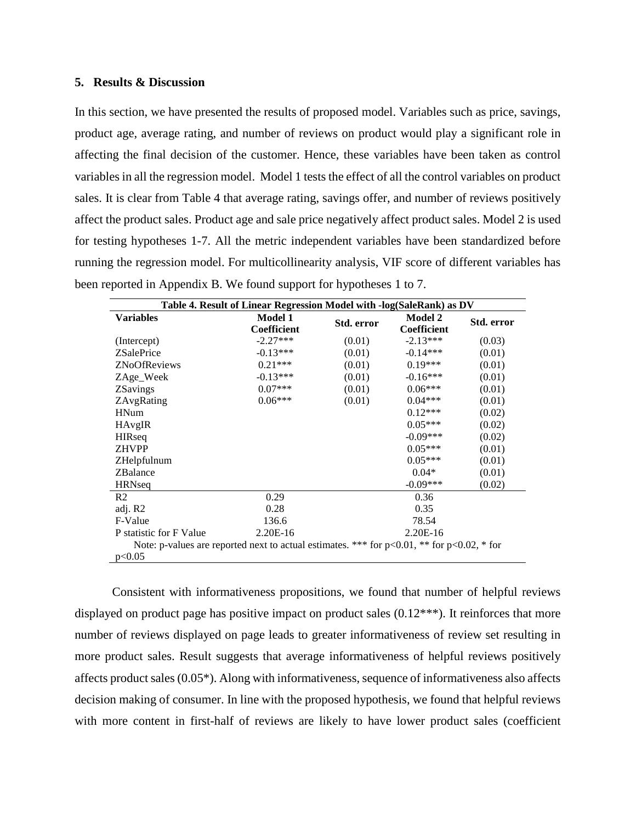## **5. Results & Discussion**

In this section, we have presented the results of proposed model. Variables such as price, savings, product age, average rating, and number of reviews on product would play a significant role in affecting the final decision of the customer. Hence, these variables have been taken as control variables in all the regression model. Model 1 tests the effect of all the control variables on product sales. It is clear from Table 4 that average rating, savings offer, and number of reviews positively affect the product sales. Product age and sale price negatively affect product sales. Model 2 is used for testing hypotheses 1-7. All the metric independent variables have been standardized before running the regression model. For multicollinearity analysis, VIF score of different variables has been reported in Appendix B. We found support for hypotheses 1 to 7.

| Table 4. Result of Linear Regression Model with -log(SaleRank) as DV |                                                                                                  |            |                               |            |
|----------------------------------------------------------------------|--------------------------------------------------------------------------------------------------|------------|-------------------------------|------------|
| <b>Variables</b>                                                     | <b>Model 1</b><br>Coefficient                                                                    | Std. error | <b>Model 2</b><br>Coefficient | Std. error |
| (Intercept)                                                          | $-2.27***$                                                                                       | (0.01)     | $-2.13***$                    | (0.03)     |
| <b>ZSalePrice</b>                                                    | $-0.13***$                                                                                       | (0.01)     | $-0.14***$                    | (0.01)     |
| ZNoOfReviews                                                         | $0.21***$                                                                                        | (0.01)     | $0.19***$                     | (0.01)     |
| ZAge_Week                                                            | $-0.13***$                                                                                       | (0.01)     | $-0.16***$                    | (0.01)     |
| <b>ZSavings</b>                                                      | $0.07***$                                                                                        | (0.01)     | $0.06***$                     | (0.01)     |
| ZAvgRating                                                           | $0.06***$                                                                                        | (0.01)     | $0.04***$                     | (0.01)     |
| <b>HNum</b>                                                          |                                                                                                  |            | $0.12***$                     | (0.02)     |
| <b>HAvgIR</b>                                                        |                                                                                                  |            | $0.05***$                     | (0.02)     |
| <b>HIRseq</b>                                                        |                                                                                                  |            | $-0.09***$                    | (0.02)     |
| <b>ZHVPP</b>                                                         |                                                                                                  |            | $0.05***$                     | (0.01)     |
| ZHelpfulnum                                                          |                                                                                                  |            | $0.05***$                     | (0.01)     |
| <b>ZBalance</b>                                                      |                                                                                                  |            | $0.04*$                       | (0.01)     |
| <b>HRNseq</b>                                                        |                                                                                                  |            | $-0.09***$                    | (0.02)     |
| R <sub>2</sub>                                                       | 0.29                                                                                             |            | 0.36                          |            |
| adj. R2                                                              | 0.28                                                                                             |            | 0.35                          |            |
| F-Value                                                              | 136.6                                                                                            |            | 78.54                         |            |
| P statistic for F Value                                              | $2.20E-16$                                                                                       |            | $2.20E-16$                    |            |
|                                                                      | Note: p-values are reported next to actual estimates. *** for $p<0.01$ , ** for $p<0.02$ , * for |            |                               |            |
| p<0.05                                                               |                                                                                                  |            |                               |            |

Consistent with informativeness propositions, we found that number of helpful reviews displayed on product page has positive impact on product sales  $(0.12***)$ . It reinforces that more number of reviews displayed on page leads to greater informativeness of review set resulting in more product sales. Result suggests that average informativeness of helpful reviews positively affects product sales(0.05\*). Along with informativeness, sequence of informativeness also affects decision making of consumer. In line with the proposed hypothesis, we found that helpful reviews with more content in first-half of reviews are likely to have lower product sales (coefficient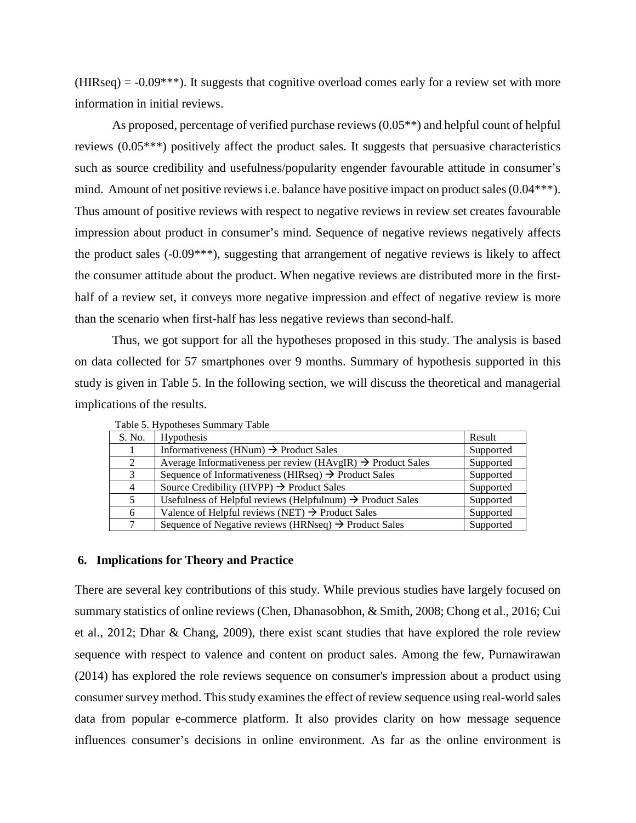$(HIRseq) = -0.09***$ ). It suggests that cognitive overload comes early for a review set with more information in initial reviews.

As proposed, percentage of verified purchase reviews (0.05\*\*) and helpful count of helpful reviews (0.05\*\*\*) positively affect the product sales. It suggests that persuasive characteristics such as source credibility and usefulness/popularity engender favourable attitude in consumer's mind. Amount of net positive reviews i.e. balance have positive impact on product sales  $(0.04***)$ . Thus amount of positive reviews with respect to negative reviews in review set creates favourable impression about product in consumer's mind. Sequence of negative reviews negatively affects the product sales (-0.09\*\*\*), suggesting that arrangement of negative reviews is likely to affect the consumer attitude about the product. When negative reviews are distributed more in the firsthalf of a review set, it conveys more negative impression and effect of negative review is more than the scenario when first-half has less negative reviews than second-half.

Thus, we got support for all the hypotheses proposed in this study. The analysis is based on data collected for 57 smartphones over 9 months. Summary of hypothesis supported in this study is given in Table 5. In the following section, we will discuss the theoretical and managerial implications of the results.

| S. No. | <b>Hypothesis</b>                                                           | Result    |
|--------|-----------------------------------------------------------------------------|-----------|
|        | Informativeness (HNum) $\rightarrow$ Product Sales                          | Supported |
| 2      | Average Informativeness per review ( $HAvgIR$ ) $\rightarrow$ Product Sales | Supported |
| 3      | Sequence of Informativeness (HIRseq) $\rightarrow$ Product Sales            | Supported |
| 4      | Source Credibility (HVPP) $\rightarrow$ Product Sales                       | Supported |
|        | Usefulness of Helpful reviews (Helpfulnum) $\rightarrow$ Product Sales      | Supported |
| 6      | Valence of Helpful reviews (NET) $\rightarrow$ Product Sales                | Supported |
| $\tau$ | Sequence of Negative reviews (HRNseq) $\rightarrow$ Product Sales           | Supported |

Table 5. Hypotheses Summary Table

## **6. Implications for Theory and Practice**

There are several key contributions of this study. While previous studies have largely focused on summary statistics of online reviews (Chen, Dhanasobhon, & Smith, 2008; Chong et al., 2016; Cui et al., 2012; Dhar & Chang, 2009), there exist scant studies that have explored the role review sequence with respect to valence and content on product sales. Among the few, Purnawirawan (2014) has explored the role reviews sequence on consumer's impression about a product using consumer survey method. This study examines the effect of review sequence using real-world sales data from popular e-commerce platform. It also provides clarity on how message sequence influences consumer's decisions in online environment. As far as the online environment is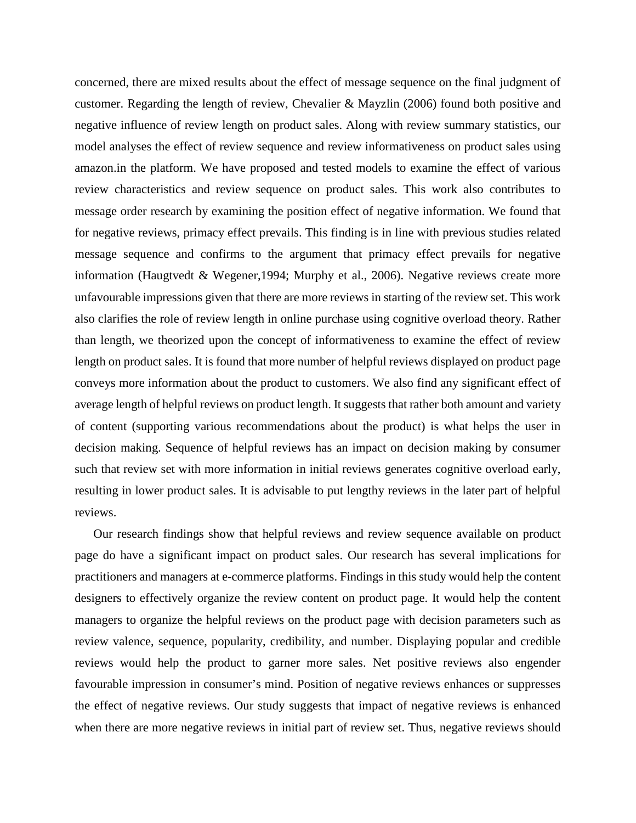concerned, there are mixed results about the effect of message sequence on the final judgment of customer. Regarding the length of review, Chevalier & Mayzlin (2006) found both positive and negative influence of review length on product sales. Along with review summary statistics, our model analyses the effect of review sequence and review informativeness on product sales using amazon.in the platform. We have proposed and tested models to examine the effect of various review characteristics and review sequence on product sales. This work also contributes to message order research by examining the position effect of negative information. We found that for negative reviews, primacy effect prevails. This finding is in line with previous studies related message sequence and confirms to the argument that primacy effect prevails for negative information (Haugtvedt & Wegener,1994; Murphy et al., 2006). Negative reviews create more unfavourable impressions given that there are more reviews in starting of the review set. This work also clarifies the role of review length in online purchase using cognitive overload theory. Rather than length, we theorized upon the concept of informativeness to examine the effect of review length on product sales. It is found that more number of helpful reviews displayed on product page conveys more information about the product to customers. We also find any significant effect of average length of helpful reviews on product length. It suggests that rather both amount and variety of content (supporting various recommendations about the product) is what helps the user in decision making. Sequence of helpful reviews has an impact on decision making by consumer such that review set with more information in initial reviews generates cognitive overload early, resulting in lower product sales. It is advisable to put lengthy reviews in the later part of helpful reviews.

Our research findings show that helpful reviews and review sequence available on product page do have a significant impact on product sales. Our research has several implications for practitioners and managers at e-commerce platforms. Findings in this study would help the content designers to effectively organize the review content on product page. It would help the content managers to organize the helpful reviews on the product page with decision parameters such as review valence, sequence, popularity, credibility, and number. Displaying popular and credible reviews would help the product to garner more sales. Net positive reviews also engender favourable impression in consumer's mind. Position of negative reviews enhances or suppresses the effect of negative reviews. Our study suggests that impact of negative reviews is enhanced when there are more negative reviews in initial part of review set. Thus, negative reviews should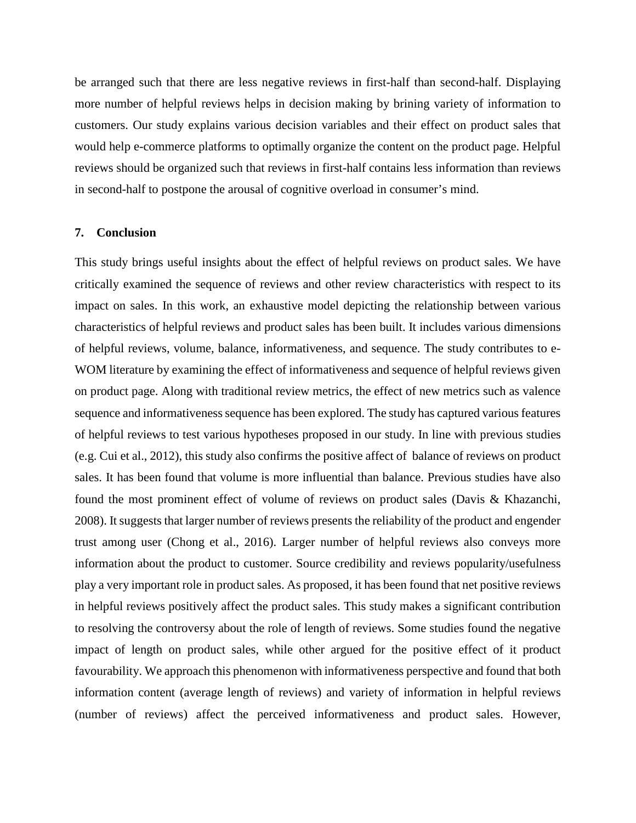be arranged such that there are less negative reviews in first-half than second-half. Displaying more number of helpful reviews helps in decision making by brining variety of information to customers. Our study explains various decision variables and their effect on product sales that would help e-commerce platforms to optimally organize the content on the product page. Helpful reviews should be organized such that reviews in first-half contains less information than reviews in second-half to postpone the arousal of cognitive overload in consumer's mind.

## **7. Conclusion**

This study brings useful insights about the effect of helpful reviews on product sales. We have critically examined the sequence of reviews and other review characteristics with respect to its impact on sales. In this work, an exhaustive model depicting the relationship between various characteristics of helpful reviews and product sales has been built. It includes various dimensions of helpful reviews, volume, balance, informativeness, and sequence. The study contributes to e-WOM literature by examining the effect of informativeness and sequence of helpful reviews given on product page. Along with traditional review metrics, the effect of new metrics such as valence sequence and informativeness sequence has been explored. The study has captured various features of helpful reviews to test various hypotheses proposed in our study. In line with previous studies (e.g. Cui et al., 2012), this study also confirms the positive affect of balance of reviews on product sales. It has been found that volume is more influential than balance. Previous studies have also found the most prominent effect of volume of reviews on product sales (Davis & Khazanchi, 2008). It suggests that larger number of reviews presents the reliability of the product and engender trust among user (Chong et al., 2016). Larger number of helpful reviews also conveys more information about the product to customer. Source credibility and reviews popularity/usefulness play a very important role in product sales. As proposed, it has been found that net positive reviews in helpful reviews positively affect the product sales. This study makes a significant contribution to resolving the controversy about the role of length of reviews. Some studies found the negative impact of length on product sales, while other argued for the positive effect of it product favourability. We approach this phenomenon with informativeness perspective and found that both information content (average length of reviews) and variety of information in helpful reviews (number of reviews) affect the perceived informativeness and product sales. However,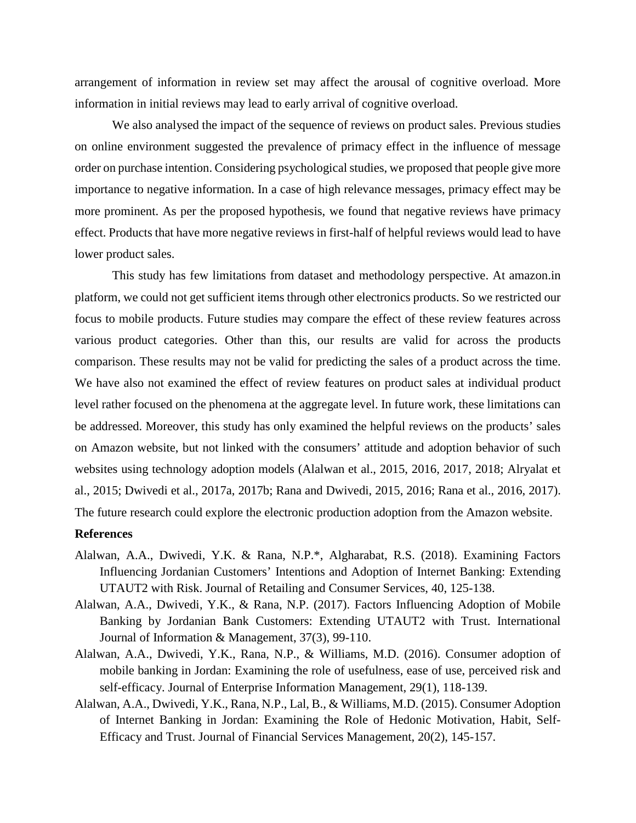arrangement of information in review set may affect the arousal of cognitive overload. More information in initial reviews may lead to early arrival of cognitive overload.

We also analysed the impact of the sequence of reviews on product sales. Previous studies on online environment suggested the prevalence of primacy effect in the influence of message order on purchase intention. Considering psychological studies, we proposed that people give more importance to negative information. In a case of high relevance messages, primacy effect may be more prominent. As per the proposed hypothesis, we found that negative reviews have primacy effect. Products that have more negative reviews in first-half of helpful reviews would lead to have lower product sales.

This study has few limitations from dataset and methodology perspective. At amazon.in platform, we could not get sufficient items through other electronics products. So we restricted our focus to mobile products. Future studies may compare the effect of these review features across various product categories. Other than this, our results are valid for across the products comparison. These results may not be valid for predicting the sales of a product across the time. We have also not examined the effect of review features on product sales at individual product level rather focused on the phenomena at the aggregate level. In future work, these limitations can be addressed. Moreover, this study has only examined the helpful reviews on the products' sales on Amazon website, but not linked with the consumers' attitude and adoption behavior of such websites using technology adoption models (Alalwan et al., 2015, 2016, 2017, 2018; Alryalat et al., 2015; Dwivedi et al., 2017a, 2017b; Rana and Dwivedi, 2015, 2016; Rana et al., 2016, 2017). The future research could explore the electronic production adoption from the Amazon website.

## **References**

- Alalwan, A.A., Dwivedi, Y.K. & Rana, N.P.\*, Algharabat, R.S. (2018). Examining Factors Influencing Jordanian Customers' Intentions and Adoption of Internet Banking: Extending UTAUT2 with Risk. Journal of Retailing and Consumer Services, 40, 125-138.
- Alalwan, A.A., Dwivedi, Y.K., & Rana, N.P. (2017). Factors Influencing Adoption of Mobile Banking by Jordanian Bank Customers: Extending UTAUT2 with Trust. International Journal of Information & Management, 37(3), 99-110.
- Alalwan, A.A., Dwivedi, Y.K., Rana, N.P., & Williams, M.D. (2016). Consumer adoption of mobile banking in Jordan: Examining the role of usefulness, ease of use, perceived risk and self-efficacy. Journal of Enterprise Information Management, 29(1), 118-139.
- Alalwan, A.A., Dwivedi, Y.K., Rana, N.P., Lal, B., & Williams, M.D. (2015). Consumer Adoption of Internet Banking in Jordan: Examining the Role of Hedonic Motivation, Habit, Self-Efficacy and Trust. Journal of Financial Services Management, 20(2), 145-157.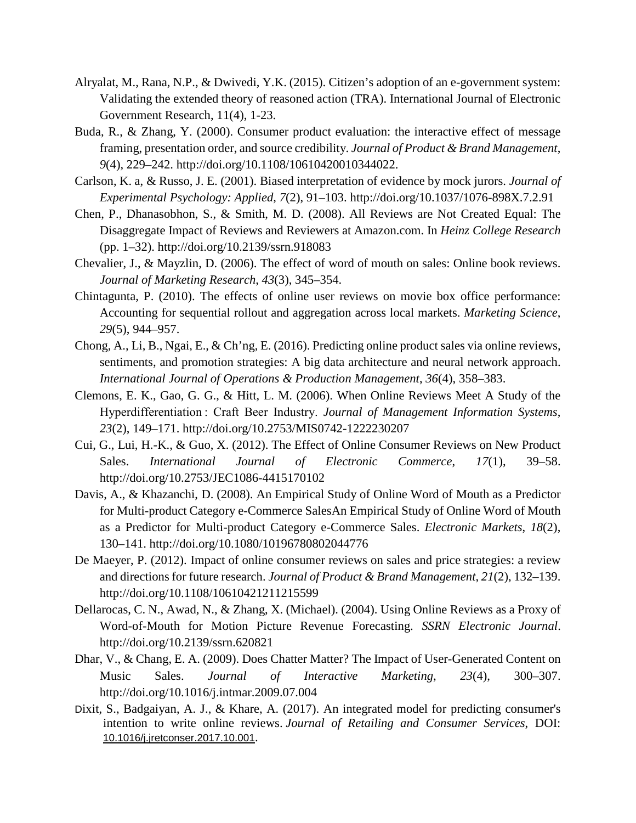- Alryalat, M., Rana, N.P., & Dwivedi, Y.K. (2015). Citizen's adoption of an e-government system: Validating the extended theory of reasoned action (TRA). International Journal of Electronic Government Research, 11(4), 1-23.
- Buda, R., & Zhang, Y. (2000). Consumer product evaluation: the interactive effect of message framing, presentation order, and source credibility. *Journal of Product & Brand Management*, *9*(4), 229–242. http://doi.org/10.1108/10610420010344022.
- Carlson, K. a, & Russo, J. E. (2001). Biased interpretation of evidence by mock jurors. *Journal of Experimental Psychology: Applied*, *7*(2), 91–103. http://doi.org/10.1037/1076-898X.7.2.91
- Chen, P., Dhanasobhon, S., & Smith, M. D. (2008). All Reviews are Not Created Equal: The Disaggregate Impact of Reviews and Reviewers at Amazon.com. In *Heinz College Research* (pp. 1–32). http://doi.org/10.2139/ssrn.918083
- Chevalier, J., & Mayzlin, D. (2006). The effect of word of mouth on sales: Online book reviews. *Journal of Marketing Research*, *43*(3), 345–354.
- Chintagunta, P. (2010). The effects of online user reviews on movie box office performance: Accounting for sequential rollout and aggregation across local markets. *Marketing Science*, *29*(5), 944–957.
- Chong, A., Li, B., Ngai, E., & Ch'ng, E. (2016). Predicting online product sales via online reviews, sentiments, and promotion strategies: A big data architecture and neural network approach. *International Journal of Operations & Production Management*, *36*(4), 358–383.
- Clemons, E. K., Gao, G. G., & Hitt, L. M. (2006). When Online Reviews Meet A Study of the Hyperdifferentiation : Craft Beer Industry. *Journal of Management Information Systems*, *23*(2), 149–171. http://doi.org/10.2753/MIS0742-1222230207
- Cui, G., Lui, H.-K., & Guo, X. (2012). The Effect of Online Consumer Reviews on New Product Sales. *International Journal of Electronic Commerce*, *17*(1), 39–58. http://doi.org/10.2753/JEC1086-4415170102
- Davis, A., & Khazanchi, D. (2008). An Empirical Study of Online Word of Mouth as a Predictor for Multi-product Category e-Commerce SalesAn Empirical Study of Online Word of Mouth as a Predictor for Multi-product Category e-Commerce Sales. *Electronic Markets*, *18*(2), 130–141. http://doi.org/10.1080/10196780802044776
- De Maeyer, P. (2012). Impact of online consumer reviews on sales and price strategies: a review and directions for future research. *Journal of Product & Brand Management*, *21*(2), 132–139. http://doi.org/10.1108/10610421211215599
- Dellarocas, C. N., Awad, N., & Zhang, X. (Michael). (2004). Using Online Reviews as a Proxy of Word-of-Mouth for Motion Picture Revenue Forecasting. *SSRN Electronic Journal*. http://doi.org/10.2139/ssrn.620821
- Dhar, V., & Chang, E. A. (2009). Does Chatter Matter? The Impact of User-Generated Content on Music Sales. *Journal of Interactive Marketing*, *23*(4), 300–307. http://doi.org/10.1016/j.intmar.2009.07.004
- Dixit, S., Badgaiyan, A. J., & Khare, A. (2017). An integrated model for predicting consumer's intention to write online reviews. *Journal of Retailing and Consumer Services*, DOI: [10.1016/j.jretconser.2017.10.001](https://doi.org/10.1016/j.jretconser.2017.10.001).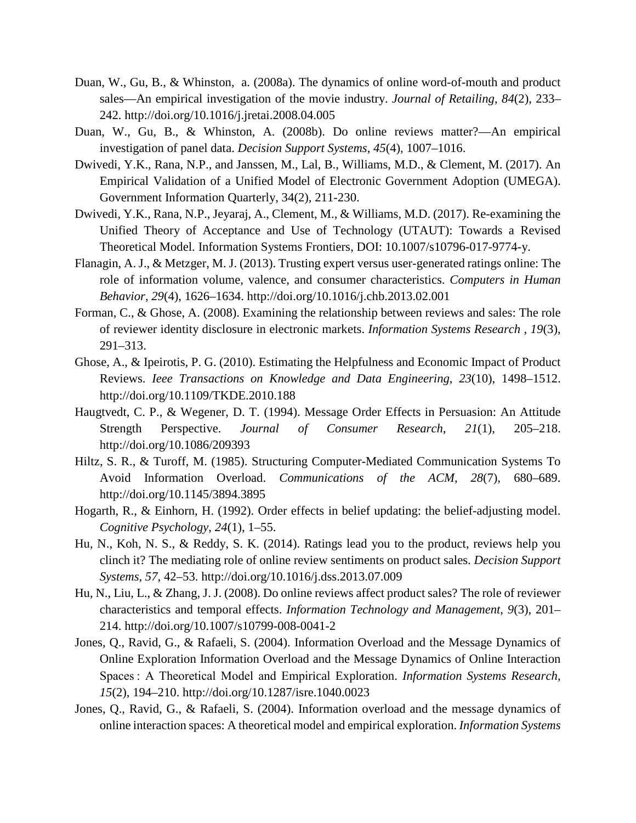- Duan, W., Gu, B., & Whinston, a. (2008a). The dynamics of online word-of-mouth and product sales—An empirical investigation of the movie industry. *Journal of Retailing*, *84*(2), 233– 242. http://doi.org/10.1016/j.jretai.2008.04.005
- Duan, W., Gu, B., & Whinston, A. (2008b). Do online reviews matter?—An empirical investigation of panel data. *Decision Support Systems*, *45*(4), 1007–1016.
- Dwivedi, Y.K., Rana, N.P., and Janssen, M., Lal, B., Williams, M.D., & Clement, M. (2017). An Empirical Validation of a Unified Model of Electronic Government Adoption (UMEGA). Government Information Quarterly, 34(2), 211-230.
- Dwivedi, Y.K., Rana, N.P., Jeyaraj, A., Clement, M., & Williams, M.D. (2017). Re-examining the Unified Theory of Acceptance and Use of Technology (UTAUT): Towards a Revised Theoretical Model. Information Systems Frontiers, DOI: 10.1007/s10796-017-9774-y.
- Flanagin, A. J., & Metzger, M. J. (2013). Trusting expert versus user-generated ratings online: The role of information volume, valence, and consumer characteristics. *Computers in Human Behavior*, *29*(4), 1626–1634. http://doi.org/10.1016/j.chb.2013.02.001
- Forman, C., & Ghose, A. (2008). Examining the relationship between reviews and sales: The role of reviewer identity disclosure in electronic markets. *Information Systems Research* , *19*(3), 291–313.
- Ghose, A., & Ipeirotis, P. G. (2010). Estimating the Helpfulness and Economic Impact of Product Reviews. *Ieee Transactions on Knowledge and Data Engineering*, *23*(10), 1498–1512. http://doi.org/10.1109/TKDE.2010.188
- Haugtvedt, C. P., & Wegener, D. T. (1994). Message Order Effects in Persuasion: An Attitude Strength Perspective. *Journal of Consumer Research*, *21*(1), 205–218. http://doi.org/10.1086/209393
- Hiltz, S. R., & Turoff, M. (1985). Structuring Computer-Mediated Communication Systems To Avoid Information Overload. *Communications of the ACM*, *28*(7), 680–689. http://doi.org/10.1145/3894.3895
- Hogarth, R., & Einhorn, H. (1992). Order effects in belief updating: the belief-adjusting model. *Cognitive Psychology*, *24*(1), 1–55.
- Hu, N., Koh, N. S., & Reddy, S. K. (2014). Ratings lead you to the product, reviews help you clinch it? The mediating role of online review sentiments on product sales. *Decision Support Systems*, *57*, 42–53. http://doi.org/10.1016/j.dss.2013.07.009
- Hu, N., Liu, L., & Zhang, J. J. (2008). Do online reviews affect product sales? The role of reviewer characteristics and temporal effects. *Information Technology and Management*, *9*(3), 201– 214. http://doi.org/10.1007/s10799-008-0041-2
- Jones, Q., Ravid, G., & Rafaeli, S. (2004). Information Overload and the Message Dynamics of Online Exploration Information Overload and the Message Dynamics of Online Interaction Spaces : A Theoretical Model and Empirical Exploration. *Information Systems Research*, *15*(2), 194–210. http://doi.org/10.1287/isre.1040.0023
- Jones, Q., Ravid, G., & Rafaeli, S. (2004). Information overload and the message dynamics of online interaction spaces: A theoretical model and empirical exploration. *Information Systems*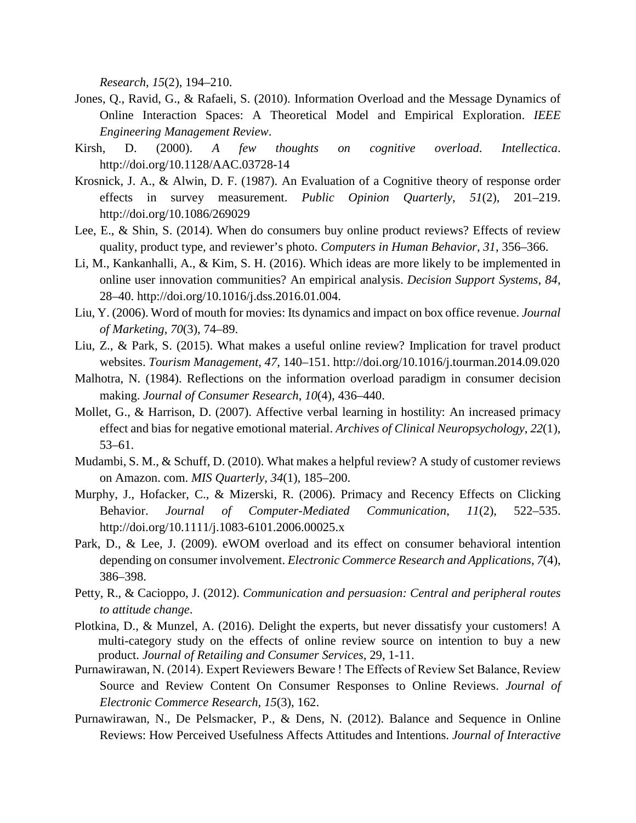*Research*, *15*(2), 194–210.

- Jones, Q., Ravid, G., & Rafaeli, S. (2010). Information Overload and the Message Dynamics of Online Interaction Spaces: A Theoretical Model and Empirical Exploration. *IEEE Engineering Management Review*.
- Kirsh, D. (2000). *A few thoughts on cognitive overload*. *Intellectica*. http://doi.org/10.1128/AAC.03728-14
- Krosnick, J. A., & Alwin, D. F. (1987). An Evaluation of a Cognitive theory of response order effects in survey measurement. *Public Opinion Quarterly*, *51*(2), 201–219. http://doi.org/10.1086/269029
- Lee, E., & Shin, S. (2014). When do consumers buy online product reviews? Effects of review quality, product type, and reviewer's photo. *Computers in Human Behavior*, *31*, 356–366.
- Li, M., Kankanhalli, A., & Kim, S. H. (2016). Which ideas are more likely to be implemented in online user innovation communities? An empirical analysis. *Decision Support Systems*, *84*, 28–40. http://doi.org/10.1016/j.dss.2016.01.004.
- Liu, Y. (2006). Word of mouth for movies: Its dynamics and impact on box office revenue. *Journal of Marketing*, *70*(3), 74–89.
- Liu, Z., & Park, S. (2015). What makes a useful online review? Implication for travel product websites. *Tourism Management*, *47*, 140–151. http://doi.org/10.1016/j.tourman.2014.09.020
- Malhotra, N. (1984). Reflections on the information overload paradigm in consumer decision making. *Journal of Consumer Research*, *10*(4), 436–440.
- Mollet, G., & Harrison, D. (2007). Affective verbal learning in hostility: An increased primacy effect and bias for negative emotional material. *Archives of Clinical Neuropsychology*, *22*(1), 53–61.
- Mudambi, S. M., & Schuff, D. (2010). What makes a helpful review? A study of customer reviews on Amazon. com. *MIS Quarterly*, *34*(1), 185–200.
- Murphy, J., Hofacker, C., & Mizerski, R. (2006). Primacy and Recency Effects on Clicking Behavior. *Journal of Computer-Mediated Communication*, *11*(2), 522–535. http://doi.org/10.1111/j.1083-6101.2006.00025.x
- Park, D., & Lee, J. (2009). eWOM overload and its effect on consumer behavioral intention depending on consumer involvement. *Electronic Commerce Research and Applications*, *7*(4), 386–398.
- Petty, R., & Cacioppo, J. (2012). *Communication and persuasion: Central and peripheral routes to attitude change*.
- Plotkina, D., & Munzel, A. (2016). Delight the experts, but never dissatisfy your customers! A multi-category study on the effects of online review source on intention to buy a new product. *Journal of Retailing and Consumer Services*, 29, 1-11.
- Purnawirawan, N. (2014). Expert Reviewers Beware ! The Effects of Review Set Balance, Review Source and Review Content On Consumer Responses to Online Reviews. *Journal of Electronic Commerce Research*, *15*(3), 162.
- Purnawirawan, N., De Pelsmacker, P., & Dens, N. (2012). Balance and Sequence in Online Reviews: How Perceived Usefulness Affects Attitudes and Intentions. *Journal of Interactive*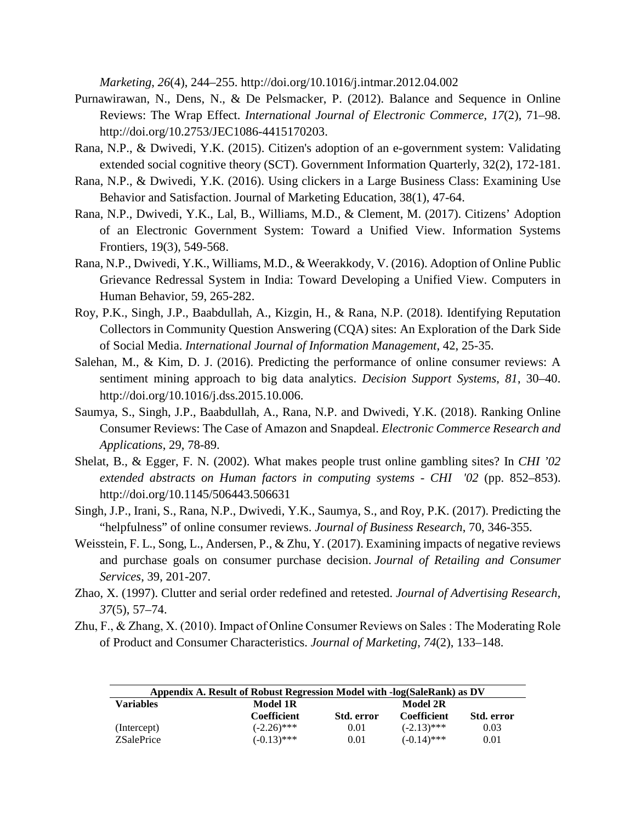*Marketing*, *26*(4), 244–255. http://doi.org/10.1016/j.intmar.2012.04.002

- Purnawirawan, N., Dens, N., & De Pelsmacker, P. (2012). Balance and Sequence in Online Reviews: The Wrap Effect. *International Journal of Electronic Commerce*, *17*(2), 71–98. http://doi.org/10.2753/JEC1086-4415170203.
- Rana, N.P., & Dwivedi, Y.K. (2015). Citizen's adoption of an e-government system: Validating extended social cognitive theory (SCT). Government Information Quarterly, 32(2), 172-181.
- Rana, N.P., & Dwivedi, Y.K. (2016). Using clickers in a Large Business Class: Examining Use Behavior and Satisfaction. Journal of Marketing Education, 38(1), 47-64.
- Rana, N.P., Dwivedi, Y.K., Lal, B., Williams, M.D., & Clement, M. (2017). Citizens' Adoption of an Electronic Government System: Toward a Unified View. Information Systems Frontiers, 19(3), 549-568.
- Rana, N.P., Dwivedi, Y.K., Williams, M.D., & Weerakkody, V. (2016). Adoption of Online Public Grievance Redressal System in India: Toward Developing a Unified View. Computers in Human Behavior, 59, 265-282.
- Roy, P.K., Singh, J.P., Baabdullah, A., Kizgin, H., & Rana, N.P. (2018). Identifying Reputation Collectors in Community Question Answering (CQA) sites: An Exploration of the Dark Side of Social Media. *International Journal of Information Management*, 42, 25-35.
- Salehan, M., & Kim, D. J. (2016). Predicting the performance of online consumer reviews: A sentiment mining approach to big data analytics. *Decision Support Systems*, *81*, 30–40. http://doi.org/10.1016/j.dss.2015.10.006.
- Saumya, S., Singh, J.P., Baabdullah, A., Rana, N.P. and Dwivedi, Y.K. (2018). Ranking Online Consumer Reviews: The Case of Amazon and Snapdeal. *Electronic Commerce Research and Applications*, 29, 78-89.
- Shelat, B., & Egger, F. N. (2002). What makes people trust online gambling sites? In *CHI '02 extended abstracts on Human factors in computing systems - CHI '02* (pp. 852–853). http://doi.org/10.1145/506443.506631
- Singh, J.P., Irani, S., Rana, N.P., Dwivedi, Y.K., Saumya, S., and Roy, P.K. (2017). Predicting the "helpfulness" of online consumer reviews. *Journal of Business Research*, 70, 346-355.
- Weisstein, F. L., Song, L., Andersen, P., & Zhu, Y. (2017). Examining impacts of negative reviews and purchase goals on consumer purchase decision. *Journal of Retailing and Consumer Services*, 39, 201-207.
- Zhao, X. (1997). Clutter and serial order redefined and retested. *Journal of Advertising Research*, *37*(5), 57–74.
- Zhu, F., & Zhang, X. (2010). Impact of Online Consumer Reviews on Sales : The Moderating Role of Product and Consumer Characteristics. *Journal of Marketing*, *74*(2), 133–148.

| Appendix A. Result of Robust Regression Model with -log(SaleRank) as DV |                    |            |                    |            |
|-------------------------------------------------------------------------|--------------------|------------|--------------------|------------|
| <b>Variables</b>                                                        | Model 1R           |            | Model 2R           |            |
|                                                                         | <b>Coefficient</b> | Std. error | <b>Coefficient</b> | Std. error |
| (Intercept)                                                             | $(-2.26)$ ***      | 0.01       | $(-2.13)$ ***      | 0.03       |
| <b>ZSalePrice</b>                                                       | $(-0.13)$ ***      | 0.01       | $(-0.14)$ ***      | 0.01       |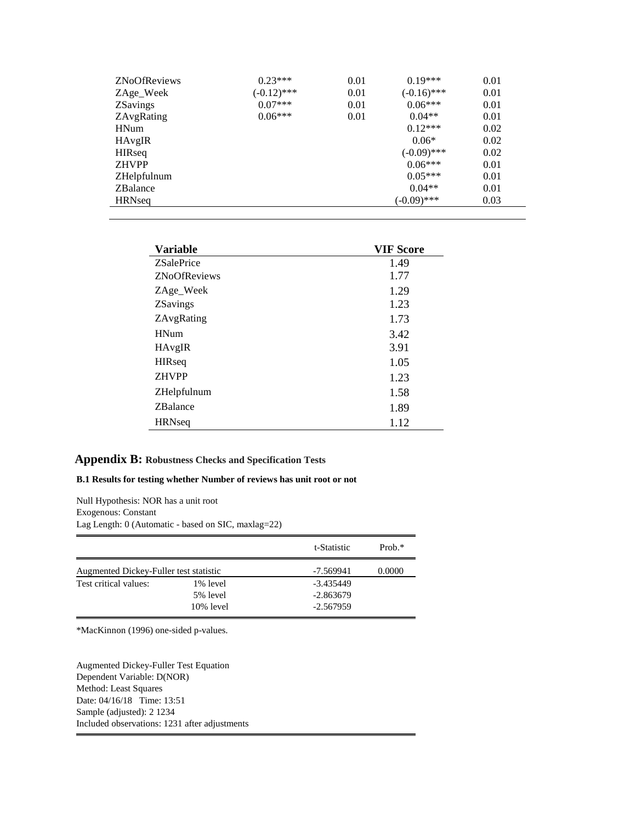| <b>ZNoOfReviews</b> | $0.23***$     | 0.01 | $0.19***$     | 0.01 |
|---------------------|---------------|------|---------------|------|
| ZAge_Week           | $(-0.12)$ *** | 0.01 | $(-0.16)$ *** | 0.01 |
| <b>ZSavings</b>     | $0.07***$     | 0.01 | $0.06***$     | 0.01 |
| ZAvgRating          | $0.06***$     | 0.01 | $0.04**$      | 0.01 |
| <b>HNum</b>         |               |      | $0.12***$     | 0.02 |
| <b>HAvgIR</b>       |               |      | $0.06*$       | 0.02 |
| <b>HIRseq</b>       |               |      | $(-0.09)$ *** | 0.02 |
| <b>ZHVPP</b>        |               |      | $0.06***$     | 0.01 |
| ZHelpfulnum         |               |      | $0.05***$     | 0.01 |
| <b>ZBalance</b>     |               |      | $0.04**$      | 0.01 |
| <b>HRNseq</b>       |               |      | $(-0.09)$ *** | 0.03 |
|                     |               |      |               |      |

| <b>Variable</b>     | <b>VIF</b> Score |
|---------------------|------------------|
| <b>ZSalePrice</b>   | 1.49             |
| <b>ZNoOfReviews</b> | 1.77             |
| ZAge_Week           | 1.29             |
| <b>ZSavings</b>     | 1.23             |
| ZAvgRating          | 1.73             |
| <b>HNum</b>         | 3.42             |
| <b>HAvgIR</b>       | 3.91             |
| <b>HIRseq</b>       | 1.05             |
| <b>ZHVPP</b>        | 1.23             |
| ZHelpfulnum         | 1.58             |
| <b>ZBalance</b>     | 1.89             |
| <b>HRNseq</b>       | 1.12             |

# **Appendix B: Robustness Checks and Specification Tests**

#### **B.1 Results for testing whether Number of reviews has unit root or not**

Null Hypothesis: NOR has a unit root Exogenous: Constant Lag Length: 0 (Automatic - based on SIC, maxlag=22)

|                                        |              | t-Statistic | Prob. $*$ |
|----------------------------------------|--------------|-------------|-----------|
| Augmented Dickey-Fuller test statistic |              | -7.569941   | 0.0000    |
| Test critical values:                  | 1% level     | -3.435449   |           |
|                                        | 5% level     | $-2.863679$ |           |
|                                        | $10\%$ level | $-2.567959$ |           |

\*MacKinnon (1996) one-sided p-values.

Augmented Dickey-Fuller Test Equation Dependent Variable: D(NOR) Method: Least Squares Date: 04/16/18 Time: 13:51 Sample (adjusted): 2 1234 Included observations: 1231 after adjustments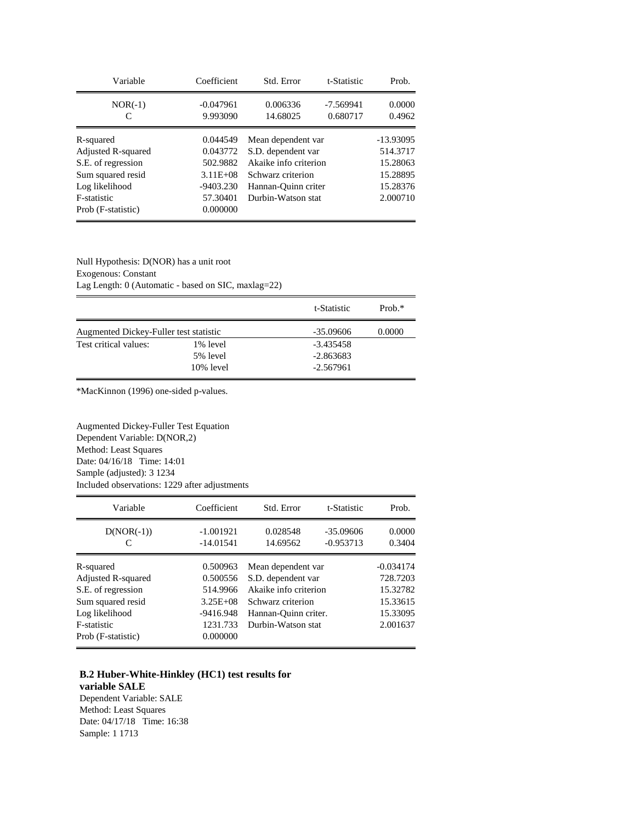| Variable           | Coefficient  | Std. Error            | t-Statistic | Prob.       |
|--------------------|--------------|-----------------------|-------------|-------------|
| $NOR(-1)$          | $-0.047961$  | 0.006336              | $-7.569941$ | 0.0000      |
|                    | 9.993090     | 14.68025              | 0.680717    | 0.4962      |
| R-squared          | 0.044549     | Mean dependent var    |             | $-13.93095$ |
| Adjusted R-squared | 0.043772     | S.D. dependent var    |             | 514.3717    |
| S.E. of regression | 502.9882     | Akaike info criterion |             | 15.28063    |
| Sum squared resid  | $3.11E + 08$ | Schwarz criterion     |             | 15.28895    |
| Log likelihood     | $-9403.230$  | Hannan-Ouinn criter   |             | 15.28376    |
| F-statistic        | 57.30401     | Durbin-Watson stat    |             | 2.000710    |
| Prob (F-statistic) | 0.000000     |                       |             |             |

Null Hypothesis: D(NOR) has a unit root Exogenous: Constant Lag Length: 0 (Automatic - based on SIC, maxlag=22)

|                                                                                                         |  | t-Statistic | $Prob.*$ |
|---------------------------------------------------------------------------------------------------------|--|-------------|----------|
| Augmented Dickey-Fuller test statistic<br>Test critical values:<br>1% level<br>5% level<br>$10\%$ level |  | -35.09606   | 0.0000   |
|                                                                                                         |  | $-3.435458$ |          |
|                                                                                                         |  | $-2.863683$ |          |
|                                                                                                         |  | $-2.567961$ |          |

\*MacKinnon (1996) one-sided p-values.

Augmented Dickey-Fuller Test Equation Dependent Variable: D(NOR,2) Method: Least Squares Date: 04/16/18 Time: 14:01 Sample (adjusted): 3 1234 Included observations: 1229 after adjustments

| Variable           | Coefficient                | Std. Error            | t-Statistic                | Prob.            |
|--------------------|----------------------------|-----------------------|----------------------------|------------------|
| $D(NOR(-1))$       | $-1.001921$<br>$-14.01541$ | 0.028548<br>14.69562  | $-35.09606$<br>$-0.953713$ | 0.0000<br>0.3404 |
| R-squared          | 0.500963                   | Mean dependent var    |                            | $-0.034174$      |
| Adjusted R-squared | 0.500556                   | S.D. dependent var    | 728.7203                   |                  |
| S.E. of regression | 514.9966                   | Akaike info criterion |                            | 15.32782         |
| Sum squared resid  | $3.25E + 08$               | Schwarz criterion     |                            | 15.33615         |
| Log likelihood     | $-9416.948$                | Hannan-Quinn criter.  |                            | 15.33095         |
| F-statistic        | 1231.733                   | Durbin-Watson stat    |                            | 2.001637         |
| Prob (F-statistic) | 0.000000                   |                       |                            |                  |

# **B.2 Huber-White-Hinkley (HC1) test results for variable SALE**

Dependent Variable: SALE Method: Least Squares Date: 04/17/18 Time: 16:38 Sample: 1 1713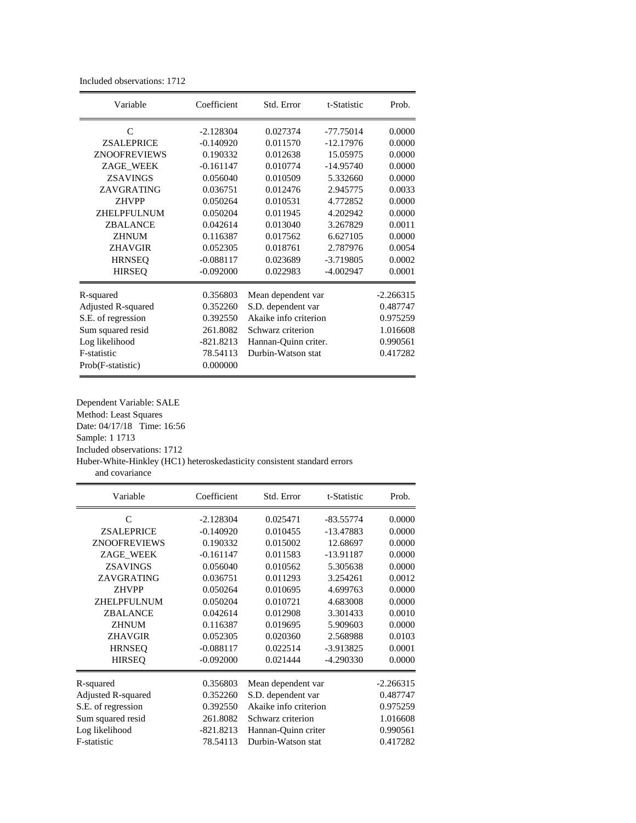Included observations: 1712

| Variable                  | Coefficient | Std. Error            | t-Statistic | Prob.       |
|---------------------------|-------------|-----------------------|-------------|-------------|
| C                         | $-2.128304$ | 0.027374              | $-77.75014$ | 0.0000      |
| <b>ZSALEPRICE</b>         | $-0.140920$ | 0.011570              | $-12.17976$ | 0.0000      |
| <b>ZNOOFREVIEWS</b>       | 0.190332    | 0.012638              | 15.05975    | 0.0000      |
| ZAGE_WEEK                 | $-0.161147$ | 0.010774              | $-14.95740$ | 0.0000      |
| <b>ZSAVINGS</b>           | 0.056040    | 0.010509              | 5.332660    | 0.0000      |
| ZAVGRATING                | 0.036751    | 0.012476              | 2.945775    | 0.0033      |
| <b>ZHVPP</b>              | 0.050264    | 0.010531              | 4.772852    | 0.0000      |
| ZHELPFULNUM               | 0.050204    | 0.011945              | 4.202942    | 0.0000      |
| ZBALANCE                  | 0.042614    | 0.013040              | 3.267829    | 0.0011      |
| <b>ZHNUM</b>              | 0.116387    | 0.017562              | 6.627105    | 0.0000      |
| <b>ZHAVGIR</b>            | 0.052305    | 0.018761              | 2.787976    | 0.0054      |
| <b>HRNSEQ</b>             | $-0.088117$ | 0.023689              | $-3.719805$ | 0.0002      |
| <b>HIRSEQ</b>             | $-0.092000$ | 0.022983              | $-4.002947$ | 0.0001      |
| R-squared                 | 0.356803    | Mean dependent var    |             | $-2.266315$ |
| <b>Adjusted R-squared</b> | 0.352260    | S.D. dependent var    |             | 0.487747    |
| S.E. of regression        | 0.392550    | Akaike info criterion |             | 0.975259    |
| Sum squared resid         | 261.8082    | Schwarz criterion     |             | 1.016608    |
| Log likelihood            | $-821.8213$ | Hannan-Quinn criter.  |             | 0.990561    |
| F-statistic               | 78.54113    | Durbin-Watson stat    | 0.417282    |             |
| Prob(F-statistic)         | 0.000000    |                       |             |             |

Dependent Variable: SALE Method: Least Squares Date: 04/17/18 Time: 16:56 Sample: 1 1713 Included observations: 1712 Huber-White-Hinkley (HC1) heteroskedasticity consistent standard errors and covariance

| Variable            | Coefficient | Std. Error            | t-Statistic | Prob.       |
|---------------------|-------------|-----------------------|-------------|-------------|
| C                   | $-2.128304$ | 0.025471              | $-83.55774$ | 0.0000      |
| <b>ZSALEPRICE</b>   | $-0.140920$ | 0.010455              | -13.47883   | 0.0000      |
| <b>ZNOOFREVIEWS</b> | 0.190332    | 0.015002              | 12.68697    | 0.0000      |
| ZAGE WEEK           | $-0.161147$ | 0.011583              | -13.91187   | 0.0000      |
| <b>ZSAVINGS</b>     | 0.056040    | 0.010562              | 5.305638    | 0.0000      |
| ZAVGRATING          | 0.036751    | 0.011293              | 3.254261    | 0.0012      |
| <b>ZHVPP</b>        | 0.050264    | 0.010695              | 4.699763    | 0.0000      |
| ZHELPFULNUM         | 0.050204    | 0.010721              | 4.683008    | 0.0000      |
| ZBALANCE            | 0.042614    | 0.012908              | 3.301433    | 0.0010      |
| <b>ZHNUM</b>        | 0.116387    | 0.019695              | 5.909603    | 0.0000      |
| <b>ZHAVGIR</b>      | 0.052305    | 0.020360              | 2.568988    | 0.0103      |
| <b>HRNSEQ</b>       | $-0.088117$ | 0.022514              | -3.913825   | 0.0001      |
| <b>HIRSEQ</b>       | $-0.092000$ | 0.021444              | $-4.290330$ | 0.0000      |
| R-squared           | 0.356803    | Mean dependent var    |             | $-2.266315$ |
| Adjusted R-squared  | 0.352260    | S.D. dependent var    | 0.487747    |             |
| S.E. of regression  | 0.392550    | Akaike info criterion | 0.975259    |             |
| Sum squared resid   | 261.8082    | Schwarz criterion     | 1.016608    |             |
| Log likelihood      | $-821.8213$ | Hannan-Quinn criter   | 0.990561    |             |
| F-statistic         | 78.54113    | Durbin-Watson stat    | 0.417282    |             |